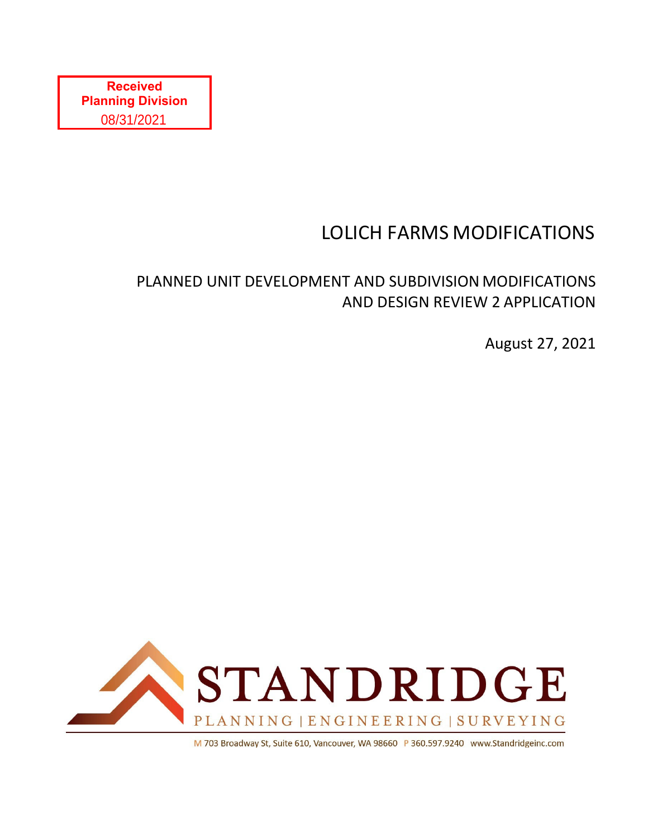# LOLICH FARMS MODIFICATIONS

## PLANNED UNIT DEVELOPMENT AND SUBDIVISION MODIFICATIONS AND DESIGN REVIEW 2 APPLICATION

August 27, 2021



M 703 Broadway St, Suite 610, Vancouver, WA 98660 P 360.597.9240 www.Standridgeinc.com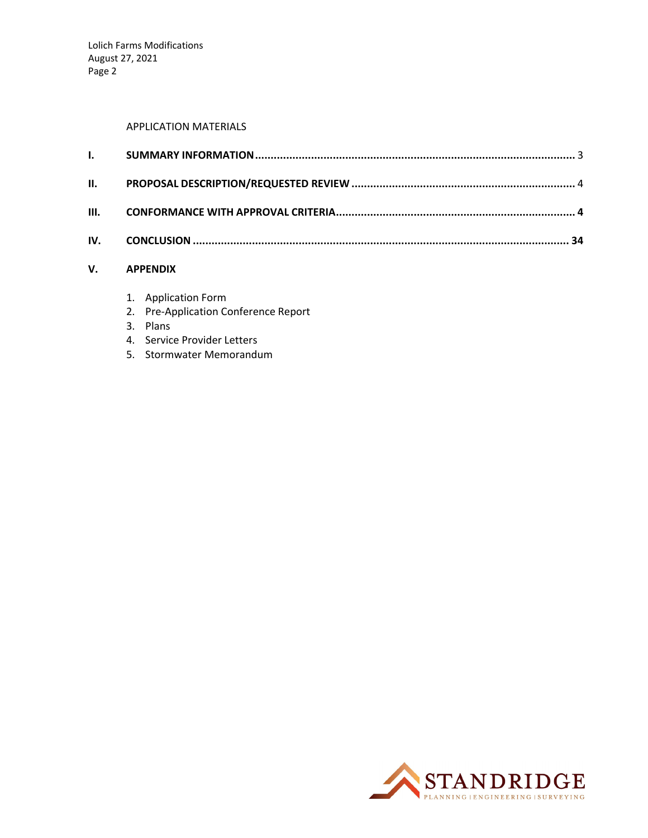#### APPLICATION MATERIALS

#### **V. APPENDIX**

- 1. Application Form
- 2. Pre‐Application Conference Report
- 3. Plans
- 4. Service Provider Letters
- 5. Stormwater Memorandum

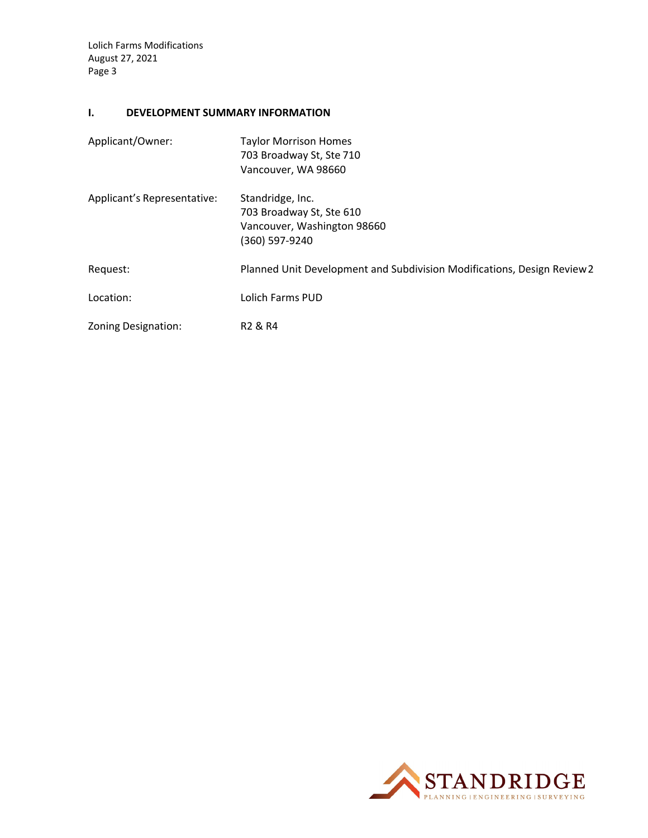#### **I. DEVELOPMENT SUMMARY INFORMATION**

| Applicant/Owner:            | <b>Taylor Morrison Homes</b>                                            |  |  |  |
|-----------------------------|-------------------------------------------------------------------------|--|--|--|
|                             | 703 Broadway St, Ste 710                                                |  |  |  |
|                             | Vancouver, WA 98660                                                     |  |  |  |
| Applicant's Representative: | Standridge, Inc.                                                        |  |  |  |
|                             | 703 Broadway St, Ste 610                                                |  |  |  |
|                             | Vancouver, Washington 98660                                             |  |  |  |
|                             | (360) 597-9240                                                          |  |  |  |
| Request:                    | Planned Unit Development and Subdivision Modifications, Design Review 2 |  |  |  |
| Location:                   | Lolich Farms PUD                                                        |  |  |  |
| Zoning Designation:         | R <sub>2</sub> & R <sub>4</sub>                                         |  |  |  |

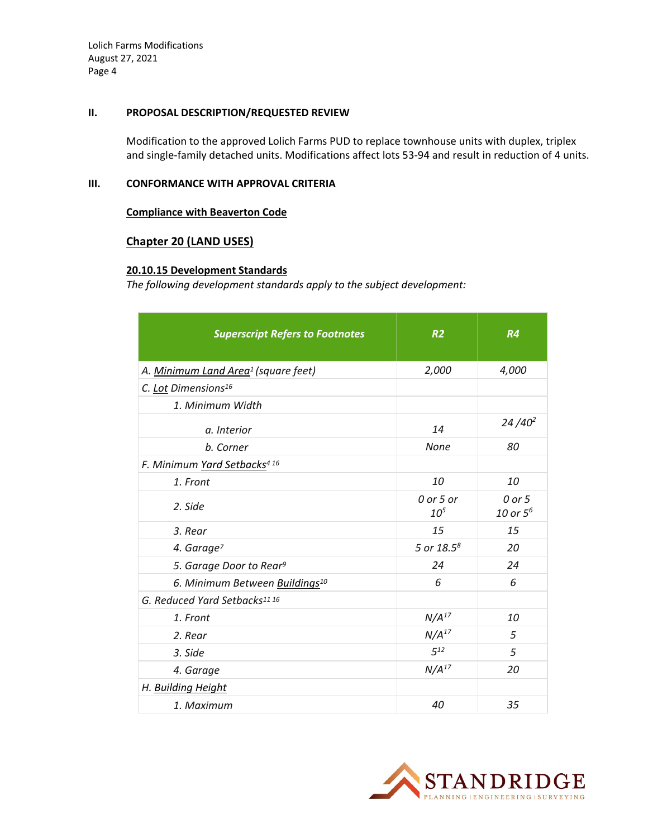#### **II. PROPOSAL DESCRIPTION/REQUESTED REVIEW**

Modification to the approved Lolich Farms PUD to replace townhouse units with duplex, triplex and single-family detached units. Modifications affect lots 53-94 and result in reduction of 4 units.

#### **III. CONFORMANCE WITH APPROVAL CRITERIA**

#### **Compliance with Beaverton Code**

#### **Chapter 20 (LAND USES)**

#### **20.10.15 Development Standards**

*The following development standards apply to the subject development:*

| <b>Superscript Refers to Footnotes</b>          | R <sub>2</sub>               | R4                    |
|-------------------------------------------------|------------------------------|-----------------------|
| A. Minimum Land Area <sup>1</sup> (square feet) | 2,000                        | 4,000                 |
| C. Lot Dimensions <sup>16</sup>                 |                              |                       |
| 1. Minimum Width                                |                              |                       |
| a. Interior                                     | 14                           | $24/40^2$             |
| b. Corner                                       | None                         | 80                    |
| F. Minimum Yard Setbacks <sup>416</sup>         |                              |                       |
| 1. Front                                        | 10                           | 10                    |
| 2. Side                                         | 0 or 5 or<br>10 <sup>5</sup> | 0 or 5<br>10 or $5^6$ |
| 3. Rear                                         | 15                           | 15                    |
| 4. Garage <sup>7</sup>                          | 5 or $18.5^8$                | 20                    |
| 5. Garage Door to Rear <sup>9</sup>             | 24                           | 24                    |
| 6. Minimum Between Buildings <sup>10</sup>      | 6                            | 6                     |
| G. Reduced Yard Setbacks11 16                   |                              |                       |
| 1. Front                                        | N/A <sup>17</sup>            | <i>10</i>             |
| 2. Rear                                         | N/A <sup>17</sup>            | 5                     |
| 3. Side                                         | $5^{12}$                     | 5                     |
| 4. Garage                                       | N/A <sup>17</sup>            | 20                    |
| H. Building Height                              |                              |                       |
| 1. Maximum                                      | 40                           | 35                    |

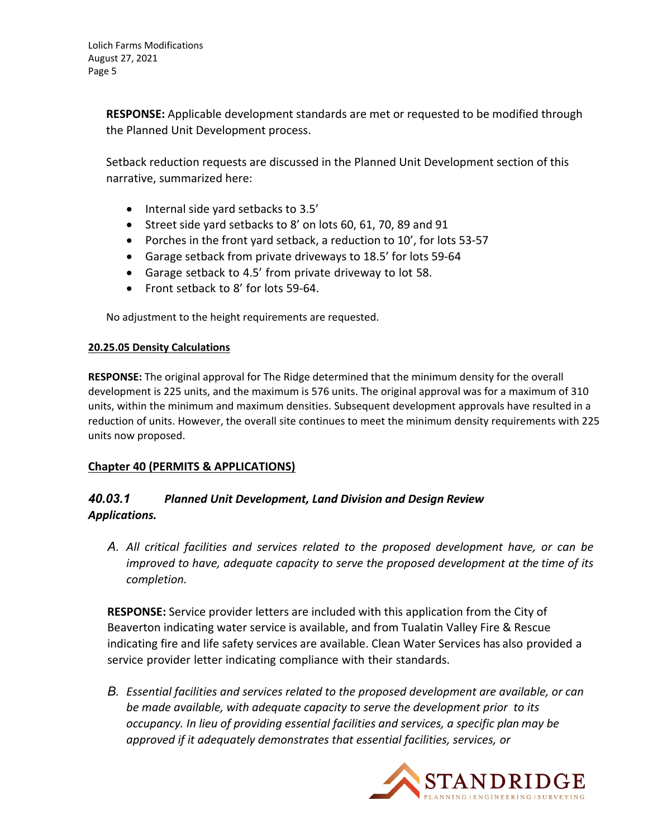**RESPONSE:** Applicable development standards are met or requested to be modified through the Planned Unit Development process.

Setback reduction requests are discussed in the Planned Unit Development section of this narrative, summarized here:

- Internal side yard setbacks to 3.5'
- Street side yard setbacks to 8' on lots 60, 61, 70, 89 and 91
- Porches in the front yard setback, a reduction to 10', for lots 53-57
- Garage setback from private driveways to 18.5' for lots 59‐64
- Garage setback to 4.5' from private driveway to lot 58.
- Front setback to 8' for lots 59-64.

No adjustment to the height requirements are requested.

#### **20.25.05 Density Calculations**

**RESPONSE:** The original approval for The Ridge determined that the minimum density for the overall development is 225 units, and the maximum is 576 units. The original approval was for a maximum of 310 units, within the minimum and maximum densities. Subsequent development approvals have resulted in a reduction of units. However, the overall site continues to meet the minimum density requirements with 225 units now proposed.

#### **Chapter 40 (PERMITS & APPLICATIONS)**

## *40.03.1 Planned Unit Development, Land Division and Design Review Applications.*

*A. All critical facilities and services related to the proposed development have, or can be improved to have, adequate capacity to serve the proposed development at the time of its completion.*

**RESPONSE:** Service provider letters are included with this application from the City of Beaverton indicating water service is available, and from Tualatin Valley Fire & Rescue indicating fire and life safety services are available. Clean Water Services has also provided a service provider letter indicating compliance with their standards.

*B. Essential facilities and services related to the proposed development are available, or can be made available, with adequate capacity to serve the development prior to its occupancy. In lieu of providing essential facilities and services, a specific plan may be approved if it adequately demonstrates that essential facilities, services, or*

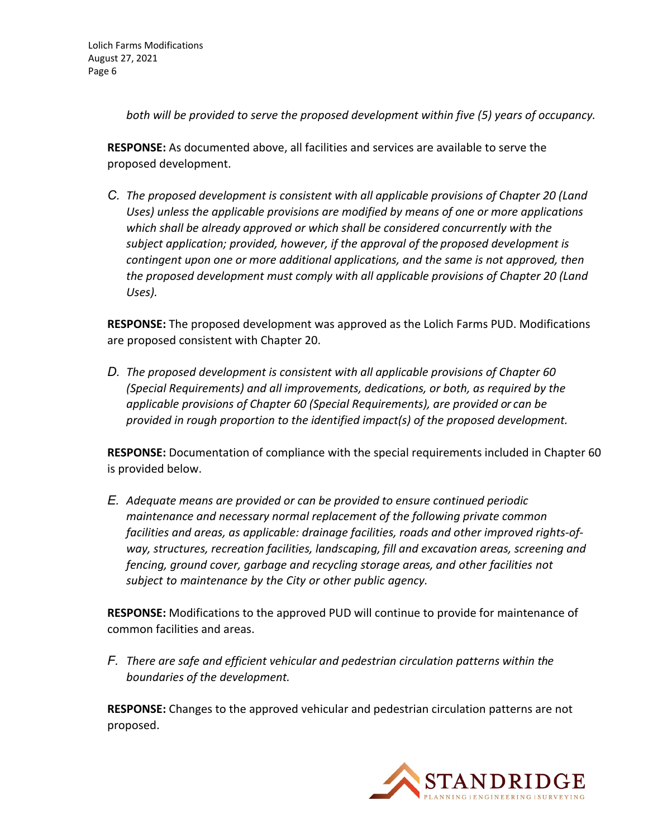*both will be provided to serve the proposed development within five (5) years of occupancy.*

**RESPONSE:** As documented above, all facilities and services are available to serve the proposed development.

*C. The proposed development is consistent with all applicable provisions of Chapter 20 (Land Uses) unless the applicable provisions are modified by means of one or more applications which shall be already approved or which shall be considered concurrently with the subject application; provided, however, if the approval of the proposed development is contingent upon one or more additional applications, and the same is not approved, then the proposed development must comply with all applicable provisions of Chapter 20 (Land Uses).*

**RESPONSE:** The proposed development was approved as the Lolich Farms PUD. Modifications are proposed consistent with Chapter 20.

*D. The proposed development is consistent with all applicable provisions of Chapter 60 (Special Requirements) and all improvements, dedications, or both, as required by the applicable provisions of Chapter 60 (Special Requirements), are provided or can be provided in rough proportion to the identified impact(s) of the proposed development.*

**RESPONSE:** Documentation of compliance with the special requirements included in Chapter 60 is provided below.

*E. Adequate means are provided or can be provided to ensure continued periodic maintenance and necessary normal replacement of the following private common facilities and areas, as applicable: drainage facilities, roads and other improved rights‐of‐ way, structures, recreation facilities, landscaping, fill and excavation areas, screening and fencing, ground cover, garbage and recycling storage areas, and other facilities not subject to maintenance by the City or other public agency.*

**RESPONSE:** Modifications to the approved PUD will continue to provide for maintenance of common facilities and areas.

*F. There are safe and efficient vehicular and pedestrian circulation patterns within the boundaries of the development.*

**RESPONSE:** Changes to the approved vehicular and pedestrian circulation patterns are not proposed.

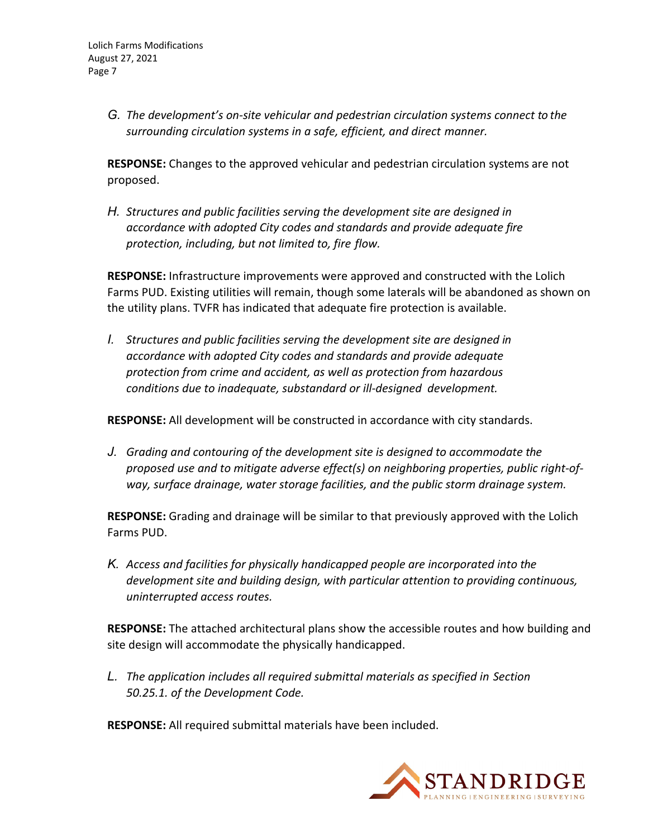*G. The development's on‐site vehicular and pedestrian circulation systems connect to the surrounding circulation systems in a safe, efficient, and direct manner.*

**RESPONSE:** Changes to the approved vehicular and pedestrian circulation systems are not proposed.

*H. Structures and public facilities serving the development site are designed in accordance with adopted City codes and standards and provide adequate fire protection, including, but not limited to, fire flow.*

**RESPONSE:** Infrastructure improvements were approved and constructed with the Lolich Farms PUD. Existing utilities will remain, though some laterals will be abandoned as shown on the utility plans. TVFR has indicated that adequate fire protection is available.

*I. Structures and public facilities serving the development site are designed in accordance with adopted City codes and standards and provide adequate protection from crime and accident, as well as protection from hazardous conditions due to inadequate, substandard or ill‐designed development.*

**RESPONSE:** All development will be constructed in accordance with city standards.

*J. Grading and contouring of the development site is designed to accommodate the proposed use and to mitigate adverse effect(s) on neighboring properties, public right‐of‐ way, surface drainage, water storage facilities, and the public storm drainage system.*

**RESPONSE:** Grading and drainage will be similar to that previously approved with the Lolich Farms PUD.

*K. Access and facilities for physically handicapped people are incorporated into the development site and building design, with particular attention to providing continuous, uninterrupted access routes.*

**RESPONSE:** The attached architectural plans show the accessible routes and how building and site design will accommodate the physically handicapped.

*L. The application includes all required submittal materials as specified in Section 50.25.1. of the Development Code.*

**RESPONSE:** All required submittal materials have been included.

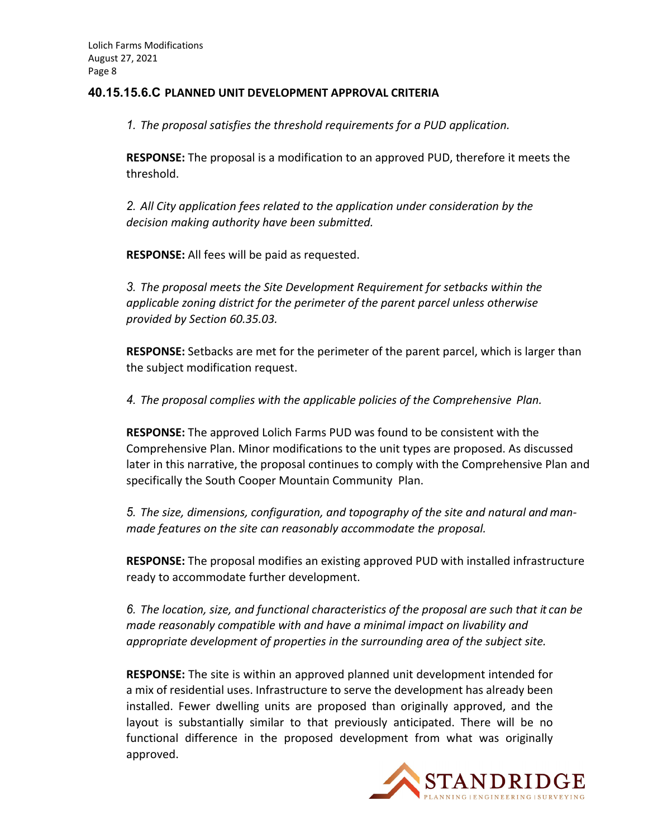#### **40.15.15.6.C PLANNED UNIT DEVELOPMENT APPROVAL CRITERIA**

*1. The proposal satisfies the threshold requirements for a PUD application.*

**RESPONSE:** The proposal is a modification to an approved PUD, therefore it meets the threshold.

*2. All City application fees related to the application under consideration by the decision making authority have been submitted.*

**RESPONSE:** All fees will be paid as requested.

*3. The proposal meets the Site Development Requirement for setbacks within the applicable zoning district for the perimeter of the parent parcel unless otherwise provided by Section 60.35.03.*

**RESPONSE:** Setbacks are met for the perimeter of the parent parcel, which is larger than the subject modification request.

*4. The proposal complies with the applicable policies of the Comprehensive Plan.*

**RESPONSE:** The approved Lolich Farms PUD was found to be consistent with the Comprehensive Plan. Minor modifications to the unit types are proposed. As discussed later in this narrative, the proposal continues to comply with the Comprehensive Plan and specifically the South Cooper Mountain Community Plan.

*5. The size, dimensions, configuration, and topography of the site and natural and man‐ made features on the site can reasonably accommodate the proposal.*

**RESPONSE:** The proposal modifies an existing approved PUD with installed infrastructure ready to accommodate further development.

*6. The location, size, and functional characteristics of the proposal are such that it can be made reasonably compatible with and have a minimal impact on livability and appropriate development of properties in the surrounding area of the subject site.*

**RESPONSE:** The site is within an approved planned unit development intended for a mix of residential uses. Infrastructure to serve the development has already been installed. Fewer dwelling units are proposed than originally approved, and the layout is substantially similar to that previously anticipated. There will be no functional difference in the proposed development from what was originally approved.

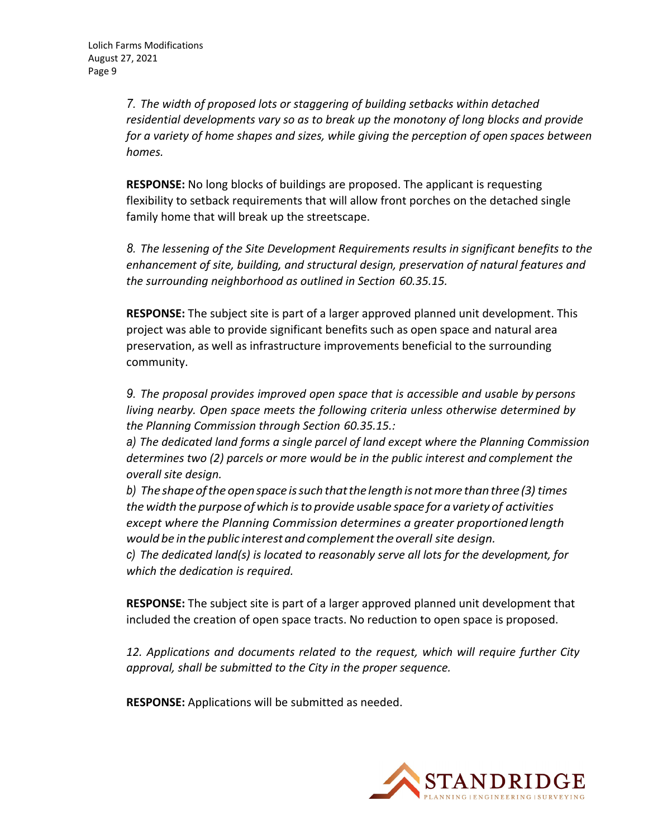*7. The width of proposed lots or staggering of building setbacks within detached residential developments vary so as to break up the monotony of long blocks and provide for a variety of home shapes and sizes, while giving the perception of open spaces between homes.*

**RESPONSE:** No long blocks of buildings are proposed. The applicant is requesting flexibility to setback requirements that will allow front porches on the detached single family home that will break up the streetscape.

*8. The lessening of the Site Development Requirements results in significant benefits to the enhancement of site, building, and structural design, preservation of natural features and the surrounding neighborhood as outlined in Section 60.35.15.*

**RESPONSE:** The subject site is part of a larger approved planned unit development. This project was able to provide significant benefits such as open space and natural area preservation, as well as infrastructure improvements beneficial to the surrounding community.

*9. The proposal provides improved open space that is accessible and usable by persons living nearby. Open space meets the following criteria unless otherwise determined by the Planning Commission through Section 60.35.15.:*

*a) The dedicated land forms a single parcel of land except where the Planning Commission determines two (2) parcels or more would be in the public interest and complement the overall site design.*

*b) The shapeoftheopenspace issuchthatthe lengthisnotmore thanthree (3) times the width the purpose of which isto provide usable space for a variety of activities except where the Planning Commission determines a greater proportioned length would be in the public interest and complementthe overall site design.*

*c) The dedicated land(s) is located to reasonably serve all lots for the development, for which the dedication is required.*

**RESPONSE:** The subject site is part of a larger approved planned unit development that included the creation of open space tracts. No reduction to open space is proposed.

*12. Applications and documents related to the request, which will require further City approval, shall be submitted to the City in the proper sequence.*

**RESPONSE:** Applications will be submitted as needed.

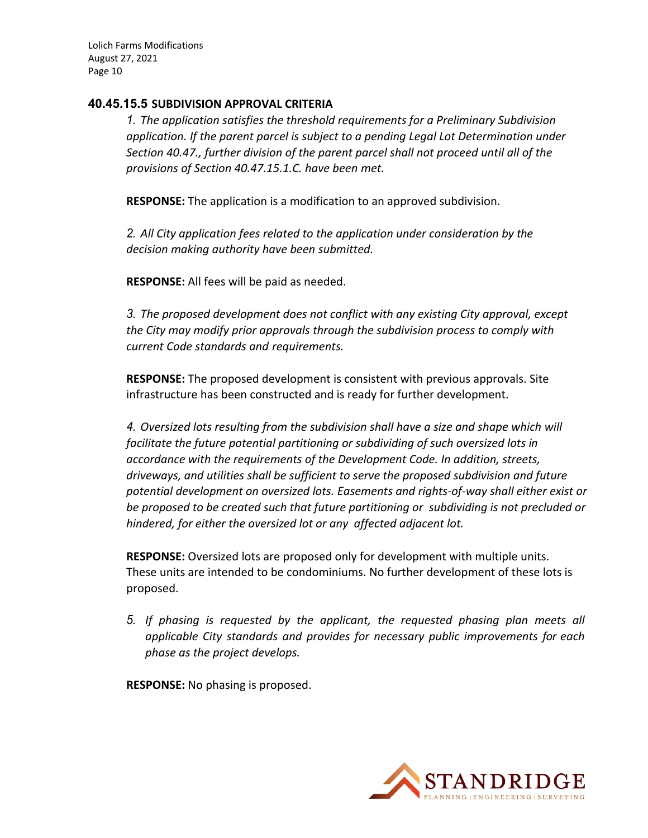#### **40.45.15.5 SUBDIVISION APPROVAL CRITERIA**

*1. The application satisfies the threshold requirements for a Preliminary Subdivision application. If the parent parcel is subject to a pending Legal Lot Determination under Section 40.47., further division of the parent parcel shall not proceed until all of the provisions of Section 40.47.15.1.C. have been met.*

**RESPONSE:** The application is a modification to an approved subdivision.

*2. All City application fees related to the application under consideration by the decision making authority have been submitted.*

**RESPONSE:** All fees will be paid as needed.

*3. The proposed development does not conflict with any existing City approval, except the City may modify prior approvals through the subdivision process to comply with current Code standards and requirements.*

**RESPONSE:** The proposed development is consistent with previous approvals. Site infrastructure has been constructed and is ready for further development.

*4. Oversized lots resulting from the subdivision shall have a size and shape which will facilitate the future potential partitioning or subdividing of such oversized lots in accordance with the requirements of the Development Code. In addition, streets, driveways, and utilities shall be sufficient to serve the proposed subdivision and future potential development on oversized lots. Easements and rights‐of‐way shall either exist or be proposed to be created such that future partitioning or subdividing is not precluded or hindered, for either the oversized lot or any affected adjacent lot.*

**RESPONSE:** Oversized lots are proposed only for development with multiple units. These units are intended to be condominiums. No further development of these lots is proposed.

*5. If phasing is requested by the applicant, the requested phasing plan meets all applicable City standards and provides for necessary public improvements for each phase as the project develops.*

**RESPONSE:** No phasing is proposed.

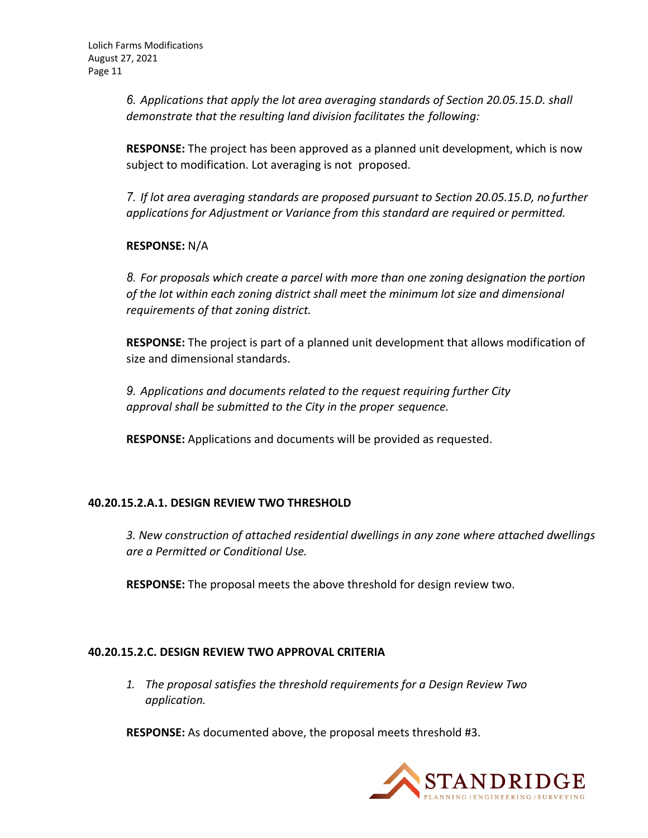*6. Applications that apply the lot area averaging standards of Section 20.05.15.D. shall demonstrate that the resulting land division facilitates the following:*

**RESPONSE:** The project has been approved as a planned unit development, which is now subject to modification. Lot averaging is not proposed.

*7. If lot area averaging standards are proposed pursuant to Section 20.05.15.D, no further applications for Adjustment or Variance from this standard are required or permitted.*

**RESPONSE:** N/A

*8. For proposals which create a parcel with more than one zoning designation the portion of the lot within each zoning district shall meet the minimum lot size and dimensional requirements of that zoning district.*

**RESPONSE:** The project is part of a planned unit development that allows modification of size and dimensional standards.

*9. Applications and documents related to the request requiring further City approval shall be submitted to the City in the proper sequence.*

**RESPONSE:** Applications and documents will be provided as requested.

## **40.20.15.2.A.1. DESIGN REVIEW TWO THRESHOLD**

*3. New construction of attached residential dwellings in any zone where attached dwellings are a Permitted or Conditional Use.*

**RESPONSE:** The proposal meets the above threshold for design review two.

## **40.20.15.2.C. DESIGN REVIEW TWO APPROVAL CRITERIA**

*1. The proposal satisfies the threshold requirements for a Design Review Two application.*

**RESPONSE:** As documented above, the proposal meets threshold #3.

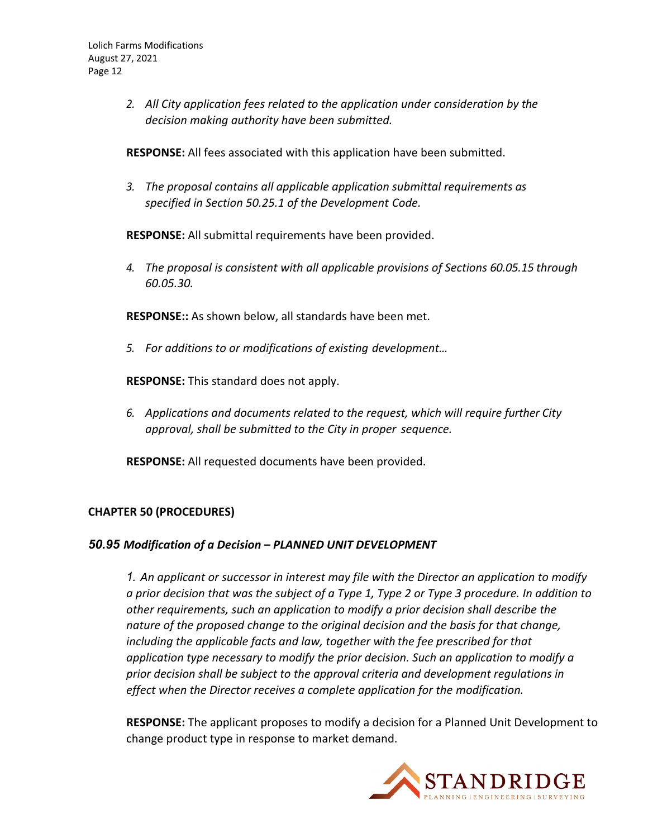*2. All City application fees related to the application under consideration by the decision making authority have been submitted.*

**RESPONSE:** All fees associated with this application have been submitted.

*3. The proposal contains all applicable application submittal requirements as specified in Section 50.25.1 of the Development Code.*

**RESPONSE:** All submittal requirements have been provided.

*4. The proposal is consistent with all applicable provisions of Sections 60.05.15 through 60.05.30.*

**RESPONSE::** As shown below, all standards have been met.

*5. For additions to or modifications of existing development…*

**RESPONSE:** This standard does not apply.

*6. Applications and documents related to the request, which will require further City approval, shall be submitted to the City in proper sequence.*

**RESPONSE:** All requested documents have been provided.

## **CHAPTER 50 (PROCEDURES)**

## *50.95 Modification of a Decision – PLANNED UNIT DEVELOPMENT*

*1. An applicant or successor in interest may file with the Director an application to modify* a prior decision that was the subject of a Type 1, Type 2 or Type 3 procedure. In addition to *other requirements, such an application to modify a prior decision shall describe the nature of the proposed change to the original decision and the basis for that change, including the applicable facts and law, together with the fee prescribed for that application type necessary to modify the prior decision. Such an application to modify a prior decision shall be subject to the approval criteria and development regulations in effect when the Director receives a complete application for the modification.*

**RESPONSE:** The applicant proposes to modify a decision for a Planned Unit Development to change product type in response to market demand.

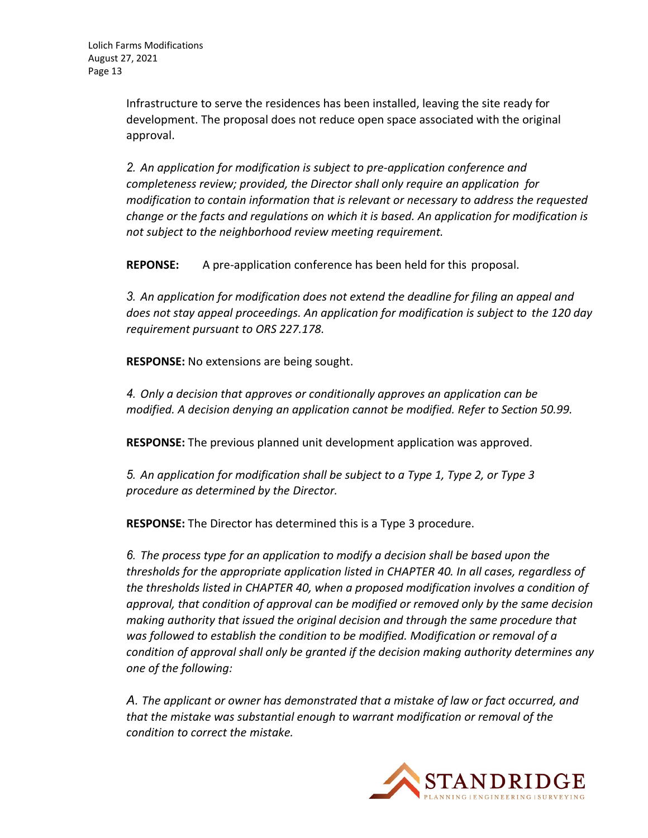Infrastructure to serve the residences has been installed, leaving the site ready for development. The proposal does not reduce open space associated with the original approval.

*2. An application for modification is subject to pre‐application conference and completeness review; provided, the Director shall only require an application for modification to contain information that is relevant or necessary to address the requested change or the facts and regulations on which it is based. An application for modification is not subject to the neighborhood review meeting requirement.*

**REPONSE:** A pre‐application conference has been held for this proposal.

*3. An application for modification does not extend the deadline for filing an appeal and does not stay appeal proceedings. An application for modification is subject to the 120 day requirement pursuant to ORS 227.178.*

**RESPONSE:** No extensions are being sought.

*4. Only a decision that approves or conditionally approves an application can be modified. A decision denying an application cannot be modified. Refer to Section 50.99.*

**RESPONSE:** The previous planned unit development application was approved.

*5. An application for modification shall be subject to a Type 1, Type 2, or Type 3 procedure as determined by the Director.*

**RESPONSE:** The Director has determined this is a Type 3 procedure.

*6. The process type for an application to modify a decision shall be based upon the thresholds for the appropriate application listed in CHAPTER 40. In all cases, regardless of the thresholds listed in CHAPTER 40, when a proposed modification involves a condition of approval, that condition of approval can be modified or removed only by the same decision making authority that issued the original decision and through the same procedure that was followed to establish the condition to be modified. Modification or removal of a condition of approval shall only be granted if the decision making authority determines any one of the following:*

*A. The applicant or owner has demonstrated that a mistake of law or fact occurred, and that the mistake was substantial enough to warrant modification or removal of the condition to correct the mistake.*

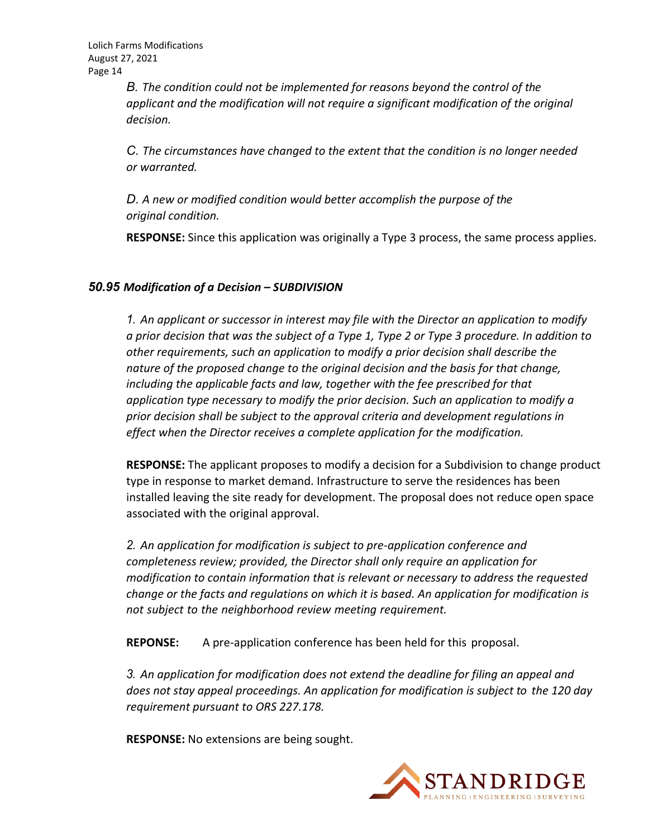*B. The condition could not be implemented for reasons beyond the control of the applicant and the modification will not require a significant modification of the original decision.*

*C. The circumstances have changed to the extent that the condition is no longer needed or warranted.*

*D. A new or modified condition would better accomplish the purpose of the original condition.*

**RESPONSE:** Since this application was originally a Type 3 process, the same process applies.

#### *50.95 Modification of a Decision – SUBDIVISION*

*1. An applicant or successor in interest may file with the Director an application to modify* a prior decision that was the subject of a Type 1, Type 2 or Type 3 procedure. In addition to *other requirements, such an application to modify a prior decision shall describe the nature of the proposed change to the original decision and the basis for that change, including the applicable facts and law, together with the fee prescribed for that application type necessary to modify the prior decision. Such an application to modify a prior decision shall be subject to the approval criteria and development regulations in effect when the Director receives a complete application for the modification.*

**RESPONSE:** The applicant proposes to modify a decision for a Subdivision to change product type in response to market demand. Infrastructure to serve the residences has been installed leaving the site ready for development. The proposal does not reduce open space associated with the original approval.

*2. An application for modification is subject to pre‐application conference and completeness review; provided, the Director shall only require an application for modification to contain information that is relevant or necessary to address the requested change or the facts and regulations on which it is based. An application for modification is not subject to the neighborhood review meeting requirement.*

**REPONSE:** A pre‐application conference has been held for this proposal.

*3. An application for modification does not extend the deadline for filing an appeal and does not stay appeal proceedings. An application for modification is subject to the 120 day requirement pursuant to ORS 227.178.*

**RESPONSE:** No extensions are being sought.

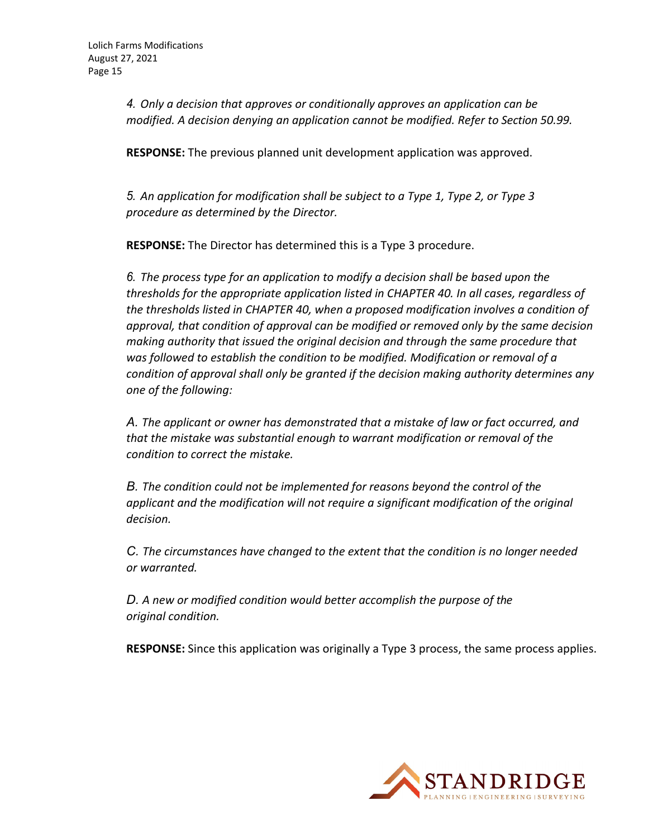*4. Only a decision that approves or conditionally approves an application can be modified. A decision denying an application cannot be modified. Refer to Section 50.99.*

**RESPONSE:** The previous planned unit development application was approved.

*5. An application for modification shall be subject to a Type 1, Type 2, or Type 3 procedure as determined by the Director.*

**RESPONSE:** The Director has determined this is a Type 3 procedure.

*6. The process type for an application to modify a decision shall be based upon the thresholds for the appropriate application listed in CHAPTER 40. In all cases, regardless of the thresholds listed in CHAPTER 40, when a proposed modification involves a condition of approval, that condition of approval can be modified or removed only by the same decision making authority that issued the original decision and through the same procedure that was followed to establish the condition to be modified. Modification or removal of a condition of approval shall only be granted if the decision making authority determines any one of the following:*

*A. The applicant or owner has demonstrated that a mistake of law or fact occurred, and that the mistake was substantial enough to warrant modification or removal of the condition to correct the mistake.*

*B. The condition could not be implemented for reasons beyond the control of the applicant and the modification will not require a significant modification of the original decision.*

*C. The circumstances have changed to the extent that the condition is no longer needed or warranted.*

*D. A new or modified condition would better accomplish the purpose of the original condition.*

**RESPONSE:** Since this application was originally a Type 3 process, the same process applies.

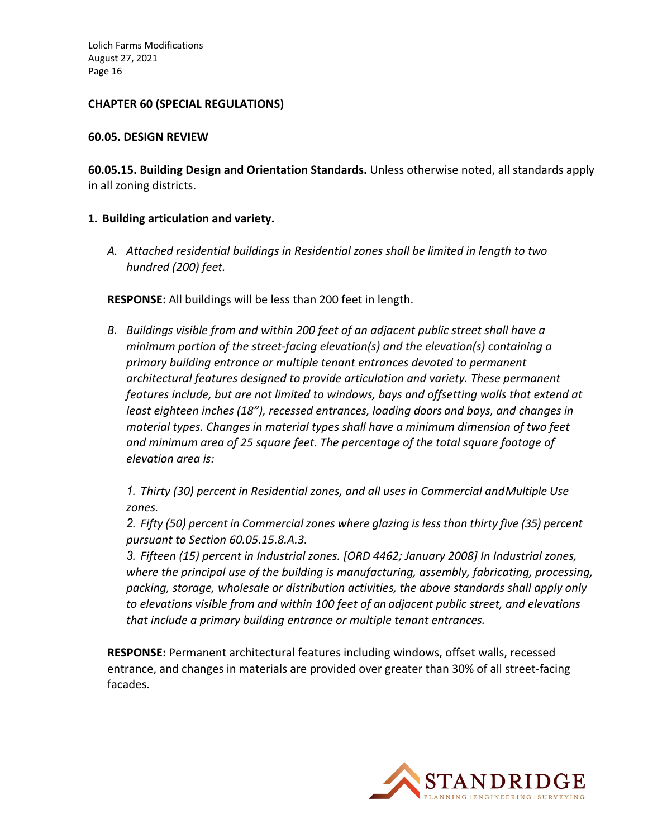#### **CHAPTER 60 (SPECIAL REGULATIONS)**

#### **60.05. DESIGN REVIEW**

**60.05.15. Building Design and Orientation Standards.** Unless otherwise noted, all standards apply in all zoning districts.

#### **1. Building articulation and variety.**

*A. Attached residential buildings in Residential zones shall be limited in length to two hundred (200) feet.*

**RESPONSE:** All buildings will be less than 200 feet in length.

*B. Buildings visible from and within 200 feet of an adjacent public street shall have a minimum portion of the street‐facing elevation(s) and the elevation(s) containing a primary building entrance or multiple tenant entrances devoted to permanent architectural features designed to provide articulation and variety. These permanent features include, but are not limited to windows, bays and offsetting walls that extend at least eighteen inches (18"), recessed entrances, loading doors and bays, and changes in material types. Changes in material types shall have a minimum dimension of two feet and minimum area of 25 square feet. The percentage of the total square footage of elevation area is:*

*1. Thirty (30) percent in Residential zones, and all uses in Commercial andMultiple Use zones.*

*2. Fifty (50) percent in Commercial zones where glazing is less than thirty five (35) percent pursuant to Section 60.05.15.8.A.3.*

*3. Fifteen (15) percent in Industrial zones. [ORD 4462; January 2008] In Industrial zones, where the principal use of the building is manufacturing, assembly, fabricating, processing, packing, storage, wholesale or distribution activities, the above standards shall apply only to elevations visible from and within 100 feet of an adjacent public street, and elevations that include a primary building entrance or multiple tenant entrances.*

**RESPONSE:** Permanent architectural features including windows, offset walls, recessed entrance, and changes in materials are provided over greater than 30% of all street‐facing facades.

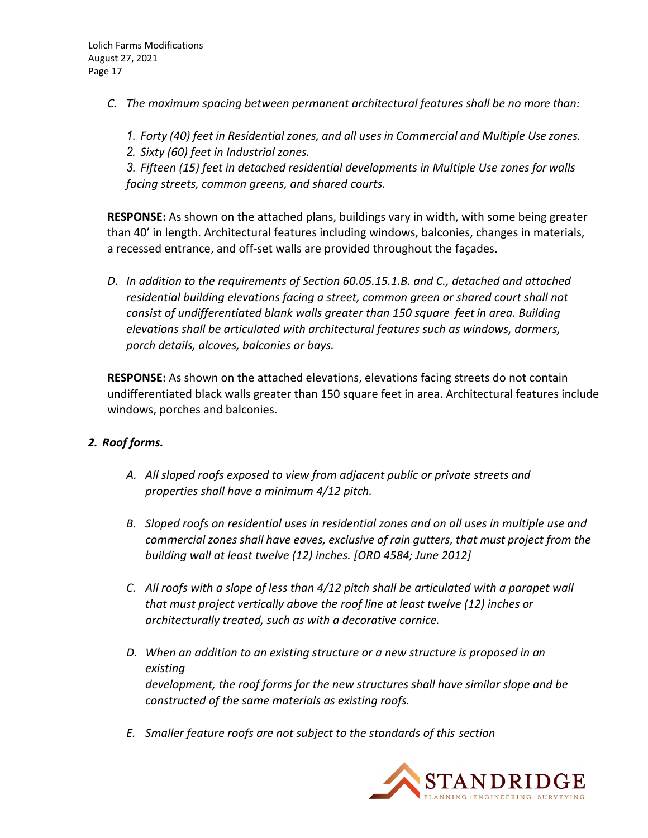- *C. The maximum spacing between permanent architectural features shall be no more than:*
	- *1. Forty (40) feet in Residential zones, and all uses in Commercial and Multiple Use zones.*
	- *2. Sixty (60) feet in Industrial zones.*

*3. Fifteen (15) feet in detached residential developments in Multiple Use zones for walls facing streets, common greens, and shared courts.*

**RESPONSE:** As shown on the attached plans, buildings vary in width, with some being greater than 40' in length. Architectural features including windows, balconies, changes in materials, a recessed entrance, and off‐set walls are provided throughout the façades.

*D. In addition to the requirements of Section 60.05.15.1.B. and C., detached and attached residential building elevations facing a street, common green or shared court shall not consist of undifferentiated blank walls greater than 150 square feet in area. Building elevations shall be articulated with architectural features such as windows, dormers, porch details, alcoves, balconies or bays.*

**RESPONSE:** As shown on the attached elevations, elevations facing streets do not contain undifferentiated black walls greater than 150 square feet in area. Architectural features include windows, porches and balconies.

## *2. Roof forms.*

- *A. All sloped roofs exposed to view from adjacent public or private streets and properties shall have a minimum 4/12 pitch.*
- *B. Sloped roofs on residential uses in residential zones and on all uses in multiple use and commercial zones shall have eaves, exclusive of rain gutters, that must project from the building wall at least twelve (12) inches. [ORD 4584; June 2012]*
- *C. All roofs with a slope of less than 4/12 pitch shall be articulated with a parapet wall that must project vertically above the roof line at least twelve (12) inches or architecturally treated, such as with a decorative cornice.*
- *D. When an addition to an existing structure or a new structure is proposed in an existing development, the roof forms for the new structures shall have similar slope and be constructed of the same materials as existing roofs.*
- *E. Smaller feature roofs are not subject to the standards of this section*

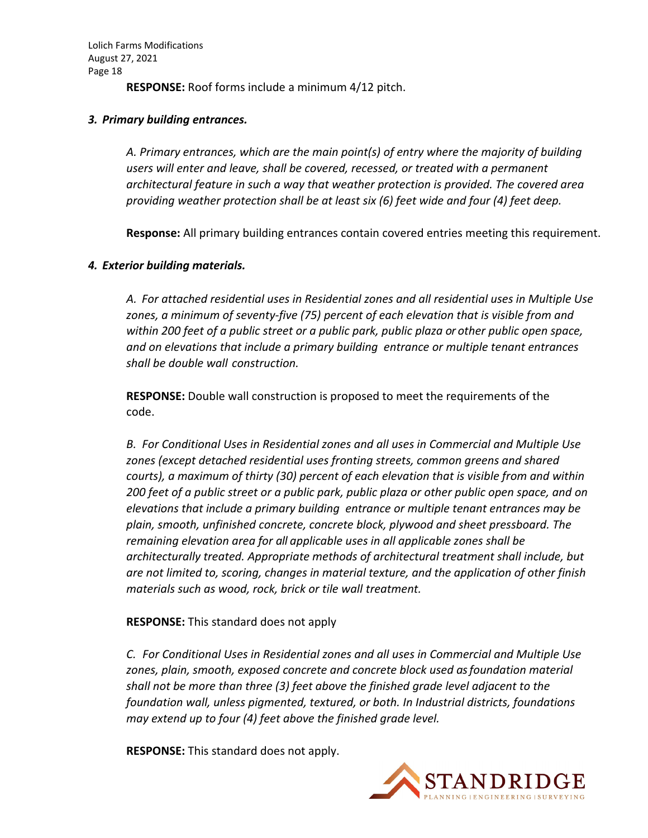**RESPONSE:** Roof forms include a minimum 4/12 pitch.

#### *3. Primary building entrances.*

*A. Primary entrances, which are the main point(s) of entry where the majority of building users will enter and leave, shall be covered, recessed, or treated with a permanent architectural feature in such a way that weather protection is provided. The covered area providing weather protection shall be at least six (6) feet wide and four (4) feet deep.*

**Response:** All primary building entrances contain covered entries meeting this requirement.

#### *4. Exterior building materials.*

*A. For attached residential uses in Residential zones and all residential uses in Multiple Use zones, a minimum of seventy‐five (75) percent of each elevation that is visible from and within 200 feet of a public street or a public park, public plaza or other public open space, and on elevations that include a primary building entrance or multiple tenant entrances shall be double wall construction.*

**RESPONSE:** Double wall construction is proposed to meet the requirements of the code.

*B. For Conditional Uses in Residential zones and all uses in Commercial and Multiple Use zones (except detached residential uses fronting streets, common greens and shared courts), a maximum of thirty (30) percent of each elevation that is visible from and within* 200 feet of a public street or a public park, public plaza or other public open space, and on *elevations that include a primary building entrance or multiple tenant entrances may be plain, smooth, unfinished concrete, concrete block, plywood and sheet pressboard. The remaining elevation area for all applicable uses in all applicable zones shall be architecturally treated. Appropriate methods of architectural treatment shall include, but are not limited to, scoring, changes in material texture, and the application of other finish materials such as wood, rock, brick or tile wall treatment.*

## **RESPONSE:** This standard does not apply

*C. For Conditional Uses in Residential zones and all uses in Commercial and Multiple Use zones, plain, smooth, exposed concrete and concrete block used asfoundation material shall not be more than three (3) feet above the finished grade level adjacent to the foundation wall, unless pigmented, textured, or both. In Industrial districts, foundations may extend up to four (4) feet above the finished grade level.*

**RESPONSE:** This standard does not apply.

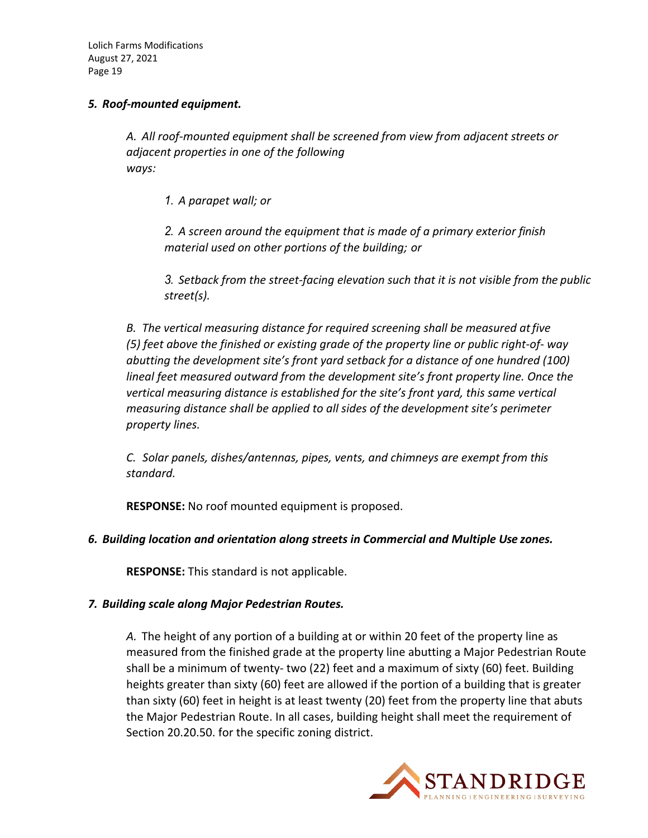#### *5. Roof‐mounted equipment.*

*A. All roof‐mounted equipment shall be screened from view from adjacent streets or adjacent properties in one of the following ways:*

*1. A parapet wall; or*

*2. A screen around the equipment that is made of a primary exterior finish material used on other portions of the building; or*

*3. Setback from the street‐facing elevation such that it is not visible from the public street(s).*

*B. The vertical measuring distance for required screening shall be measured atfive (5) feet above the finished or existing grade of the property line or public right‐of‐ way abutting the development site's front yard setback for a distance of one hundred (100) lineal feet measured outward from the development site's front property line. Once the vertical measuring distance is established for the site's front yard, this same vertical measuring distance shall be applied to all sides of the development site's perimeter property lines.*

*C. Solar panels, dishes/antennas, pipes, vents, and chimneys are exempt from this standard.*

**RESPONSE:** No roof mounted equipment is proposed.

## *6. Building location and orientation along streets in Commercial and Multiple Use zones.*

**RESPONSE:** This standard is not applicable.

#### *7. Building scale along Major Pedestrian Routes.*

*A.* The height of any portion of a building at or within 20 feet of the property line as measured from the finished grade at the property line abutting a Major Pedestrian Route shall be a minimum of twenty‐ two (22) feet and a maximum of sixty (60) feet. Building heights greater than sixty (60) feet are allowed if the portion of a building that is greater than sixty (60) feet in height is at least twenty (20) feet from the property line that abuts the Major Pedestrian Route. In all cases, building height shall meet the requirement of Section 20.20.50. for the specific zoning district.

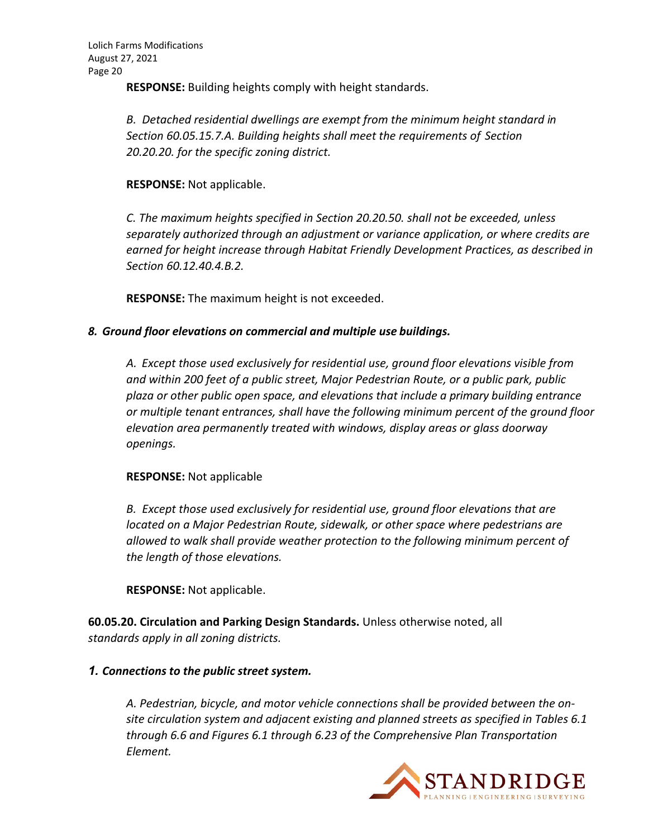**RESPONSE:** Building heights comply with height standards.

*B. Detached residential dwellings are exempt from the minimum height standard in Section 60.05.15.7.A. Building heights shall meet the requirements of Section 20.20.20. for the specific zoning district.*

#### **RESPONSE:** Not applicable.

*C. The maximum heights specified in Section 20.20.50. shall not be exceeded, unless separately authorized through an adjustment or variance application, or where credits are earned for height increase through Habitat Friendly Development Practices, as described in Section 60.12.40.4.B.2.*

**RESPONSE:** The maximum height is not exceeded.

#### *8. Ground floor elevations on commercial and multiple use buildings.*

*A. Except those used exclusively for residential use, ground floor elevations visible from and within 200 feet of a public street, Major Pedestrian Route, or a public park, public plaza or other public open space, and elevations that include a primary building entrance or multiple tenant entrances, shall have the following minimum percent of the ground floor elevation area permanently treated with windows, display areas or glass doorway openings.*

#### **RESPONSE:** Not applicable

*B. Except those used exclusively for residential use, ground floor elevations that are located on a Major Pedestrian Route, sidewalk, or other space where pedestrians are allowed to walk shall provide weather protection to the following minimum percent of the length of those elevations.*

**RESPONSE:** Not applicable.

**60.05.20. Circulation and Parking Design Standards.** Unless otherwise noted, all *standards apply in all zoning districts.*

#### *1. Connections to the public street system.*

*A. Pedestrian, bicycle, and motor vehicle connections shall be provided between the on‐ site circulation system and adjacent existing and planned streets as specified in Tables 6.1 through 6.6 and Figures 6.1 through 6.23 of the Comprehensive Plan Transportation Element.*

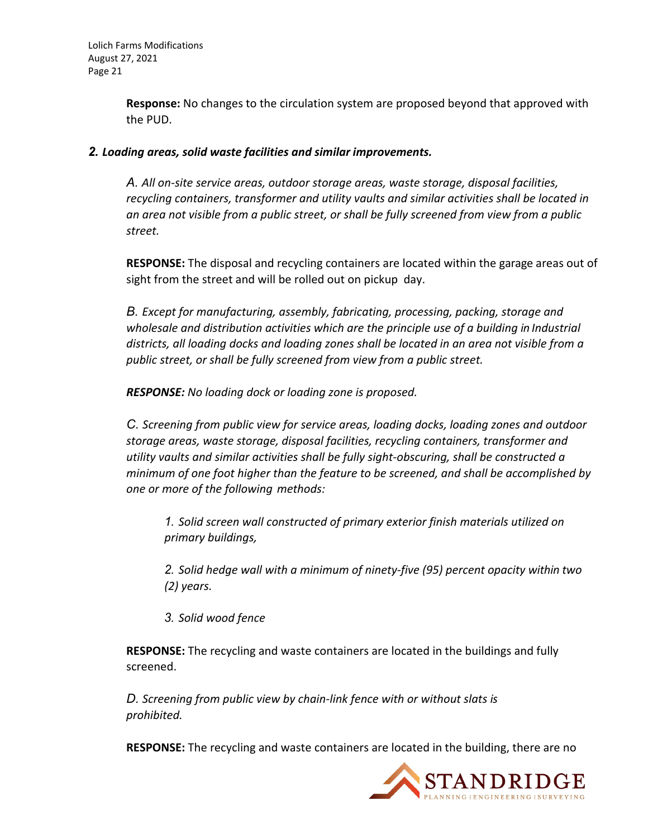**Response:** No changes to the circulation system are proposed beyond that approved with the PUD.

#### *2. Loading areas, solid waste facilities and similar improvements.*

*A. All on‐site service areas, outdoor storage areas, waste storage, disposal facilities, recycling containers, transformer and utility vaults and similar activities shall be located in an area not visible from a public street, or shall be fully screened from view from a public street.*

**RESPONSE:** The disposal and recycling containers are located within the garage areas out of sight from the street and will be rolled out on pickup day.

*B. Except for manufacturing, assembly, fabricating, processing, packing, storage and wholesale and distribution activities which are the principle use of a building in Industrial districts, all loading docks and loading zones shall be located in an area not visible from a public street, or shall be fully screened from view from a public street.*

*RESPONSE: No loading dock or loading zone is proposed.*

*C. Screening from public view for service areas, loading docks, loading zones and outdoor storage areas, waste storage, disposal facilities, recycling containers, transformer and utility vaults and similar activities shall be fully sight‐obscuring, shall be constructed a minimum of one foot higher than the feature to be screened, and shall be accomplished by one or more of the following methods:*

*1. Solid screen wall constructed of primary exterior finish materials utilized on primary buildings,*

*2. Solid hedge wall with a minimum of ninety‐five (95) percent opacity within two (2) years.*

*3. Solid wood fence*

**RESPONSE:** The recycling and waste containers are located in the buildings and fully screened.

*D. Screening from public view by chain‐link fence with or without slats is prohibited.*

**RESPONSE:** The recycling and waste containers are located in the building, there are no

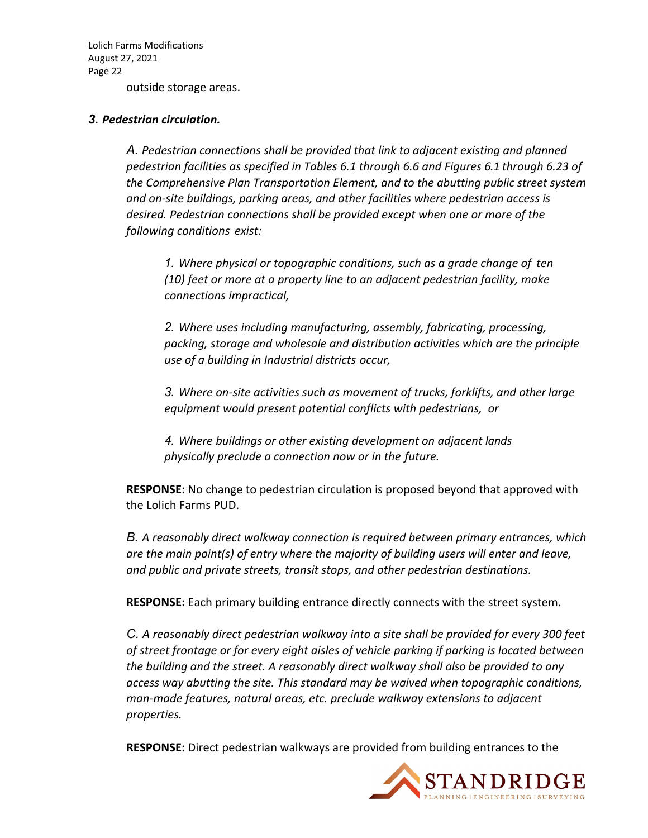outside storage areas.

#### *3. Pedestrian circulation.*

*A. Pedestrian connections shall be provided that link to adjacent existing and planned pedestrian facilities as specified in Tables 6.1 through 6.6 and Figures 6.1 through 6.23 of the Comprehensive Plan Transportation Element, and to the abutting public street system and on‐site buildings, parking areas, and other facilities where pedestrian access is desired. Pedestrian connections shall be provided except when one or more of the following conditions exist:*

*1. Where physical or topographic conditions, such as a grade change of ten (10) feet or more at a property line to an adjacent pedestrian facility, make connections impractical,*

*2. Where uses including manufacturing, assembly, fabricating, processing, packing, storage and wholesale and distribution activities which are the principle use of a building in Industrial districts occur,*

*3. Where on‐site activities such as movement of trucks, forklifts, and other large equipment would present potential conflicts with pedestrians, or*

*4. Where buildings or other existing development on adjacent lands physically preclude a connection now or in the future.*

**RESPONSE:** No change to pedestrian circulation is proposed beyond that approved with the Lolich Farms PUD.

*B. A reasonably direct walkway connection is required between primary entrances, which are the main point(s) of entry where the majority of building users will enter and leave, and public and private streets, transit stops, and other pedestrian destinations.*

**RESPONSE:** Each primary building entrance directly connects with the street system.

*C. A reasonably direct pedestrian walkway into a site shall be provided for every 300 feet of street frontage or for every eight aisles of vehicle parking if parking is located between the building and the street. A reasonably direct walkway shall also be provided to any access way abutting the site. This standard may be waived when topographic conditions, man‐made features, natural areas, etc. preclude walkway extensions to adjacent properties.*

**RESPONSE:** Direct pedestrian walkways are provided from building entrances to the

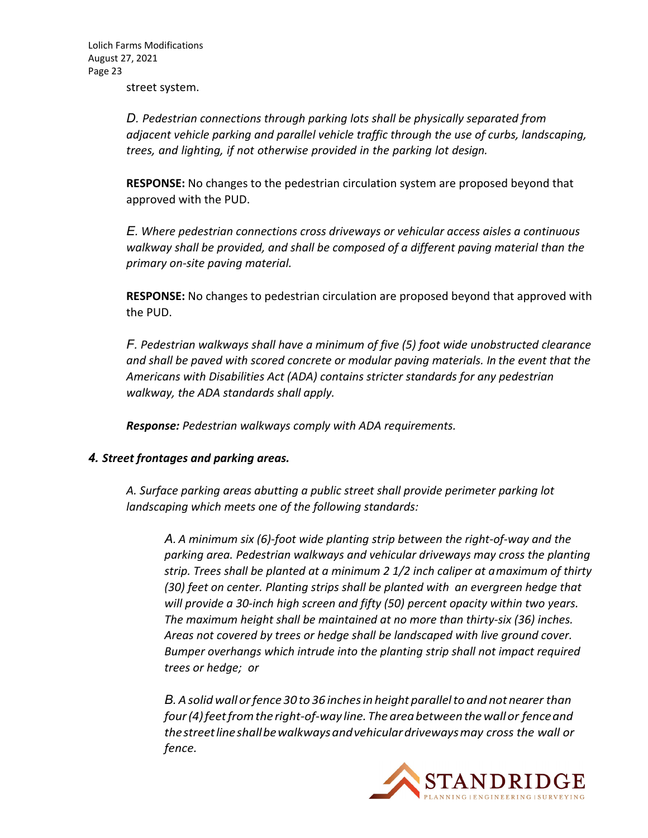street system.

*D. Pedestrian connections through parking lots shall be physically separated from adjacent vehicle parking and parallel vehicle traffic through the use of curbs, landscaping, trees, and lighting, if not otherwise provided in the parking lot design.*

**RESPONSE:** No changes to the pedestrian circulation system are proposed beyond that approved with the PUD.

*E. Where pedestrian connections cross driveways or vehicular access aisles a continuous walkway shall be provided, and shall be composed of a different paving material than the primary on‐site paving material.*

**RESPONSE:** No changes to pedestrian circulation are proposed beyond that approved with the PUD.

*F. Pedestrian walkways shall have a minimum of five (5) foot wide unobstructed clearance and shall be paved with scored concrete or modular paving materials. In the event that the Americans with Disabilities Act (ADA) contains stricter standards for any pedestrian walkway, the ADA standards shall apply.*

*Response: Pedestrian walkways comply with ADA requirements.*

#### *4. Street frontages and parking areas.*

*A. Surface parking areas abutting a public street shall provide perimeter parking lot landscaping which meets one of the following standards:*

*A. A minimum six (6)‐foot wide planting strip between the right‐of‐way and the parking area. Pedestrian walkways and vehicular driveways may cross the planting strip. Trees shall be planted at a minimum 2 1/2 inch caliper at amaximum of thirty (30) feet on center. Planting strips shall be planted with an evergreen hedge that will provide a 30‐inch high screen and fifty (50) percent opacity within two years. The maximum height shall be maintained at no more than thirty‐six (36) inches. Areas not covered by trees or hedge shall be landscaped with live ground cover. Bumper overhangs which intrude into the planting strip shall not impact required trees or hedge; or*

*B. Asolid wall orfence 30 to 36 inchesin height parallelto and not nearer than four(4)feetfromthe right‐of‐way line.The areabetweenthewallor fenceand thestreetlineshallbewalkwaysandvehiculardrivewaysmay cross the wall or fence.*

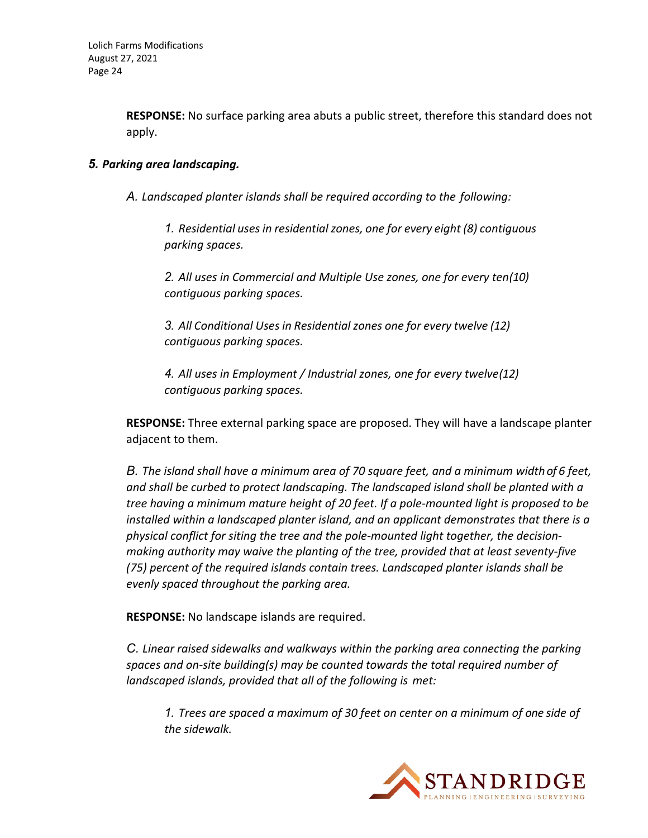**RESPONSE:** No surface parking area abuts a public street, therefore this standard does not apply.

#### *5. Parking area landscaping.*

*A. Landscaped planter islands shall be required according to the following:*

*1. Residential usesin residentialzones, one for every eight (8) contiguous parking spaces.*

*2. All uses in Commercial and Multiple Use zones, one for every ten(10) contiguous parking spaces.*

*3. All Conditional Uses in Residential zones one for every twelve (12) contiguous parking spaces.*

*4. All uses in Employment / Industrial zones, one for every twelve(12) contiguous parking spaces.*

**RESPONSE:** Three external parking space are proposed. They will have a landscape planter adjacent to them.

*B. The island shall have a minimum area of 70 square feet, and a minimum widthof 6 feet, and shall be curbed to protect landscaping. The landscaped island shall be planted with a tree having a minimum mature height of 20 feet. If a pole‐mounted light is proposed to be installed within a landscaped planter island, and an applicant demonstrates that there is a physical conflict for siting the tree and the pole‐mounted light together, the decision‐ making authority may waive the planting of the tree, provided that at least seventy‐five (75) percent of the required islands contain trees. Landscaped planter islands shall be evenly spaced throughout the parking area.*

**RESPONSE:** No landscape islands are required.

*C. Linear raised sidewalks and walkways within the parking area connecting the parking spaces and on‐site building(s) may be counted towards the total required number of landscaped islands, provided that all of the following is met:*

*1. Trees are spaced a maximum of 30 feet on center on a minimum of one side of the sidewalk.*

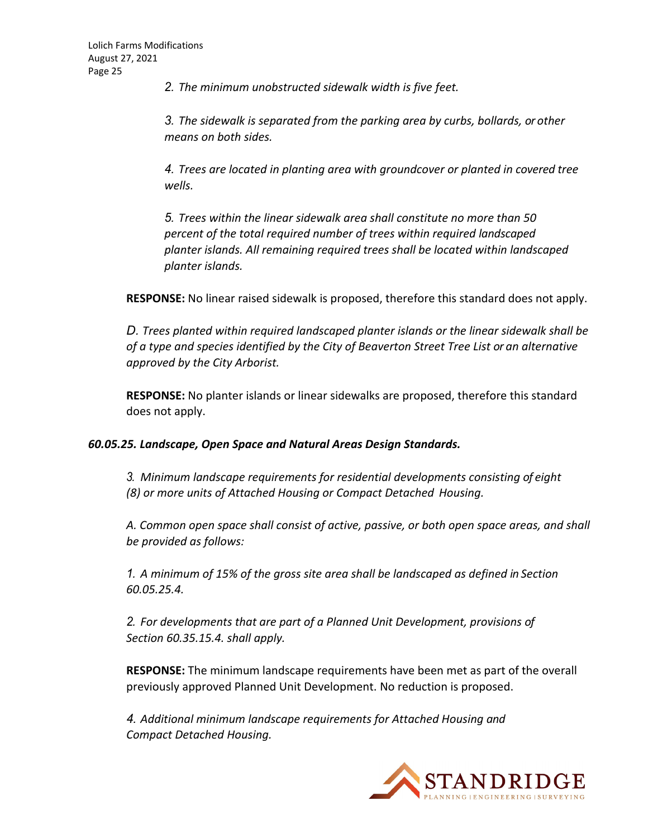*2. The minimum unobstructed sidewalk width is five feet.*

*3. The sidewalk is separated from the parking area by curbs, bollards, or other means on both sides.*

*4. Trees are located in planting area with groundcover or planted in covered tree wells.*

*5. Trees within the linear sidewalk area shall constitute no more than 50 percent of the total required number of trees within required landscaped planter islands. All remaining required trees shall be located within landscaped planter islands.*

**RESPONSE:** No linear raised sidewalk is proposed, therefore this standard does not apply.

*D. Trees planted within required landscaped planter islands or the linear sidewalk shall be of a type and species identified by the City of Beaverton Street Tree List or an alternative approved by the City Arborist.*

**RESPONSE:** No planter islands or linear sidewalks are proposed, therefore this standard does not apply.

#### *60.05.25. Landscape, Open Space and Natural Areas Design Standards.*

*3. Minimum landscape requirements for residential developments consisting of eight (8) or more units of Attached Housing or Compact Detached Housing.*

*A. Common open space shall consist of active, passive, or both open space areas, and shall be provided as follows:*

*1. A minimum of 15% of the gross site area shall be landscaped as defined in Section 60.05.25.4.*

*2. For developments that are part of a Planned Unit Development, provisions of Section 60.35.15.4. shall apply.*

**RESPONSE:** The minimum landscape requirements have been met as part of the overall previously approved Planned Unit Development. No reduction is proposed.

*4. Additional minimum landscape requirements for Attached Housing and Compact Detached Housing.*

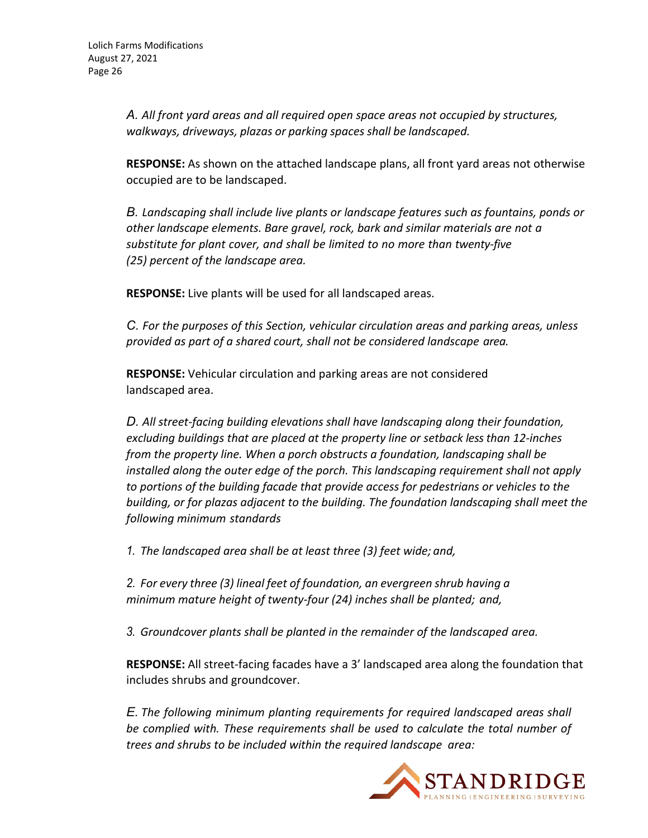*A. All front yard areas and all required open space areas not occupied by structures, walkways, driveways, plazas or parking spaces shall be landscaped.*

**RESPONSE:** As shown on the attached landscape plans, all front yard areas not otherwise occupied are to be landscaped.

*B. Landscaping shall include live plants or landscape features such as fountains, ponds or other landscape elements. Bare gravel, rock, bark and similar materials are not a substitute for plant cover, and shall be limited to no more than twenty‐five (25) percent of the landscape area.*

**RESPONSE:** Live plants will be used for all landscaped areas.

*C. For the purposes of this Section, vehicular circulation areas and parking areas, unless provided as part of a shared court, shall not be considered landscape area.*

**RESPONSE:** Vehicular circulation and parking areas are not considered landscaped area.

*D. All street‐facing building elevations shall have landscaping along their foundation, excluding buildings that are placed at the property line or setback lessthan 12‐inches from the property line. When a porch obstructs a foundation, landscaping shall be installed along the outer edge of the porch. This landscaping requirement shall not apply to portions of the building facade that provide access for pedestrians or vehicles to the building, or for plazas adjacent to the building. The foundation landscaping shall meet the following minimum standards*

*1. The landscaped area shall be at least three (3) feet wide; and,*

*2. For every three (3) lineal feet of foundation, an evergreen shrub having a minimum mature height of twenty‐four (24) inches shall be planted; and,*

*3. Groundcover plants shall be planted in the remainder of the landscaped area.*

**RESPONSE:** All street-facing facades have a 3' landscaped area along the foundation that includes shrubs and groundcover.

*E. The following minimum planting requirements for required landscaped areas shall be complied with. These requirements shall be used to calculate the total number of trees and shrubs to be included within the required landscape area:*

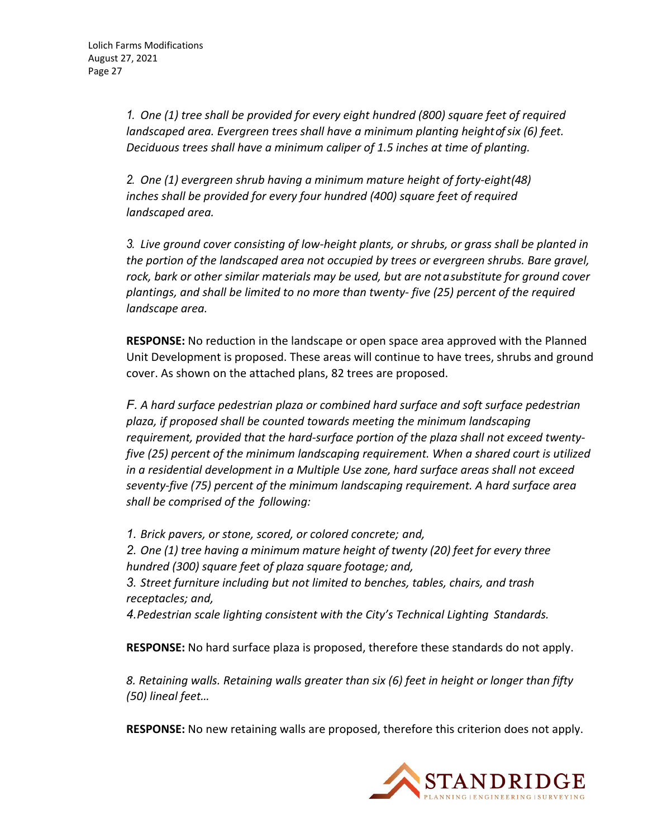*1. One (1) tree shall be provided for every eight hundred (800) square feet of required landscaped area. Evergreen trees shall have a minimum planting heightofsix (6) feet. Deciduous trees shall have a minimum caliper of 1.5 inches at time of planting.*

*2. One (1) evergreen shrub having a minimum mature height of forty‐eight(48) inches shall be provided for every four hundred (400) square feet of required landscaped area.*

*3. Live ground cover consisting of low‐height plants, or shrubs, or grass shall be planted in the portion of the landscaped area not occupied by trees or evergreen shrubs. Bare gravel, rock, bark or other similar materials may be used, but are notasubstitute for ground cover plantings, and shall be limited to no more than twenty‐ five (25) percent of the required landscape area.*

**RESPONSE:** No reduction in the landscape or open space area approved with the Planned Unit Development is proposed. These areas will continue to have trees, shrubs and ground cover. As shown on the attached plans, 82 trees are proposed.

*F. A hard surface pedestrian plaza or combined hard surface and soft surface pedestrian plaza, if proposed shall be counted towards meeting the minimum landscaping requirement, provided that the hard‐surface portion of the plaza shall not exceed twenty‐ five (25) percent of the minimum landscaping requirement. When a shared court is utilized in a residential development in a Multiple Use zone, hard surface areas shall not exceed seventy‐five (75) percent of the minimum landscaping requirement. A hard surface area shall be comprised of the following:*

*1. Brick pavers, or stone, scored, or colored concrete; and,*

*2. One (1) tree having a minimum mature height of twenty (20) feet for every three hundred (300) square feet of plaza square footage; and,*

*3. Street furniture including but not limited to benches, tables, chairs, and trash receptacles; and,*

*4. Pedestrian scale lighting consistent with the City's Technical Lighting Standards.*

**RESPONSE:** No hard surface plaza is proposed, therefore these standards do not apply.

*8. Retaining walls. Retaining walls greater than six (6) feet in height or longer than fifty (50) lineal feet…*

**RESPONSE:** No new retaining walls are proposed, therefore this criterion does not apply.

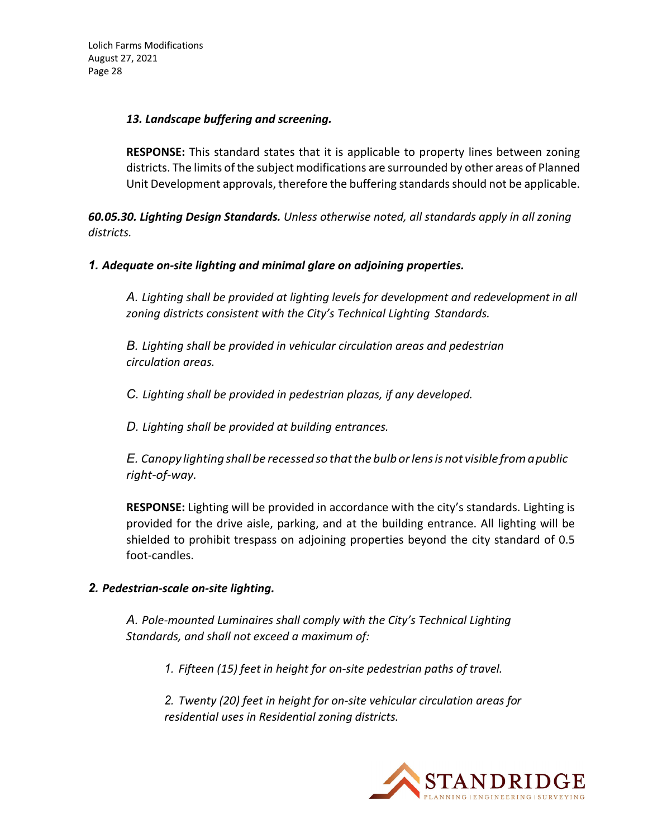#### *13. Landscape buffering and screening.*

**RESPONSE:** This standard states that it is applicable to property lines between zoning districts. The limits of the subject modifications are surrounded by other areas of Planned Unit Development approvals, therefore the buffering standardsshould not be applicable.

*60.05.30. Lighting Design Standards. Unless otherwise noted, all standards apply in all zoning districts.*

#### *1. Adequate on‐site lighting and minimal glare on adjoining properties.*

*A. Lighting shall be provided at lighting levels for development and redevelopment in all zoning districts consistent with the City's Technical Lighting Standards.*

*B. Lighting shall be provided in vehicular circulation areas and pedestrian circulation areas.*

*C. Lighting shall be provided in pedestrian plazas, if any developed.*

*D. Lighting shall be provided at building entrances.*

*E. Canopy lighting shallbe recessedsothatthe bulborlensis not visible fromapublic right‐of‐way.*

**RESPONSE:** Lighting will be provided in accordance with the city's standards. Lighting is provided for the drive aisle, parking, and at the building entrance. All lighting will be shielded to prohibit trespass on adjoining properties beyond the city standard of 0.5 foot‐candles.

## *2. Pedestrian‐scale on‐site lighting.*

*A. Pole‐mounted Luminaires shall comply with the City's Technical Lighting Standards, and shall not exceed a maximum of:*

*1. Fifteen (15) feet in height for on‐site pedestrian paths of travel.*

*2. Twenty (20) feet in height for on‐site vehicular circulation areas for residential uses in Residential zoning districts.*

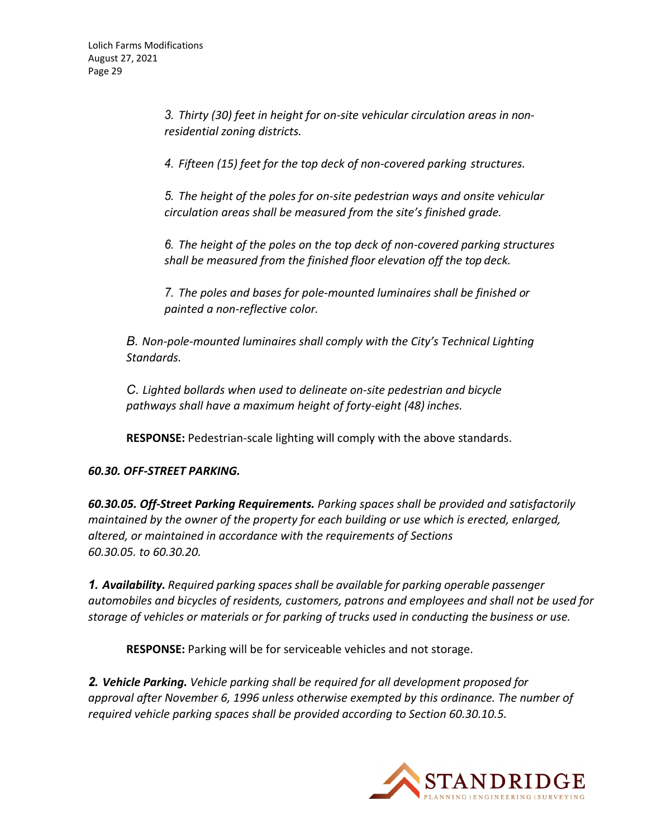*3. Thirty (30) feet in height for on‐site vehicular circulation areas in non‐ residential zoning districts.*

*4. Fifteen (15) feet for the top deck of non‐covered parking structures.*

*5. The height of the poles for on‐site pedestrian ways and onsite vehicular circulation areas shall be measured from the site's finished grade.*

*6. The height of the poles on the top deck of non‐covered parking structures shall be measured from the finished floor elevation off the top deck.*

*7. The poles and bases for pole‐mounted luminaires shall be finished or painted a non‐reflective color.*

*B. Non‐pole‐mounted luminaires shall comply with the City's Technical Lighting Standards.*

*C. Lighted bollards when used to delineate on‐site pedestrian and bicycle pathways shall have a maximum height of forty‐eight (48) inches.*

**RESPONSE:** Pedestrian‐scale lighting will comply with the above standards.

## *60.30. OFF‐STREET PARKING.*

*60.30.05. Off‐Street Parking Requirements. Parking spaces shall be provided and satisfactorily maintained by the owner of the property for each building or use which is erected, enlarged, altered, or maintained in accordance with the requirements of Sections 60.30.05. to 60.30.20.*

*1. Availability. Required parking spacesshall be available for parking operable passenger automobiles and bicycles of residents, customers, patrons and employees and shall not be used for storage of vehicles or materials or for parking of trucks used in conducting the business or use.*

**RESPONSE:** Parking will be for serviceable vehicles and not storage.

*2. Vehicle Parking. Vehicle parking shall be required for all development proposed for approval after November 6, 1996 unless otherwise exempted by this ordinance. The number of required vehicle parking spaces shall be provided according to Section 60.30.10.5.*

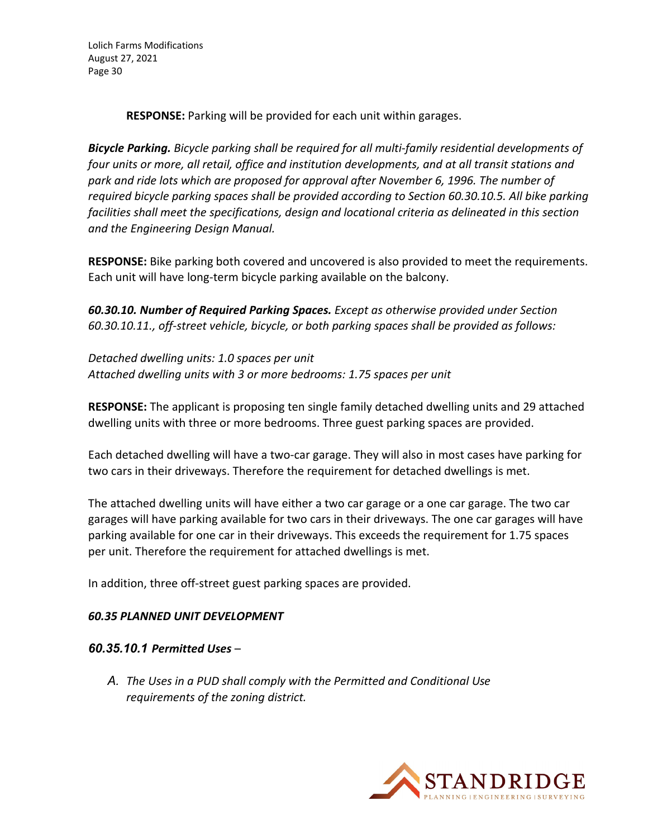**RESPONSE:** Parking will be provided for each unit within garages.

*Bicycle Parking. Bicycle parking shall be required for all multi‐family residential developments of four units or more, all retail, office and institution developments, and at all transit stations and park and ride lots which are proposed for approval after November 6, 1996. The number of required bicycle parking spaces shall be provided according to Section 60.30.10.5. All bike parking facilities shall meet the specifications, design and locational criteria as delineated in this section and the Engineering Design Manual.*

**RESPONSE:** Bike parking both covered and uncovered is also provided to meet the requirements. Each unit will have long‐term bicycle parking available on the balcony.

*60.30.10. Number of Required Parking Spaces. Except as otherwise provided under Section 60.30.10.11., off‐street vehicle, bicycle, or both parking spaces shall be provided as follows:*

*Detached dwelling units: 1.0 spaces per unit Attached dwelling units with 3 or more bedrooms: 1.75 spaces per unit*

**RESPONSE:** The applicant is proposing ten single family detached dwelling units and 29 attached dwelling units with three or more bedrooms. Three guest parking spaces are provided.

Each detached dwelling will have a two‐car garage. They will also in most cases have parking for two cars in their driveways. Therefore the requirement for detached dwellings is met.

The attached dwelling units will have either a two car garage or a one car garage. The two car garages will have parking available for two cars in their driveways. The one car garages will have parking available for one car in their driveways. This exceeds the requirement for 1.75 spaces per unit. Therefore the requirement for attached dwellings is met.

In addition, three off‐street guest parking spaces are provided.

## *60.35 PLANNED UNIT DEVELOPMENT*

#### *60.35.10.1 Permitted Uses* –

*A. The Uses in a PUD shall comply with the Permitted and Conditional Use requirements of the zoning district.*

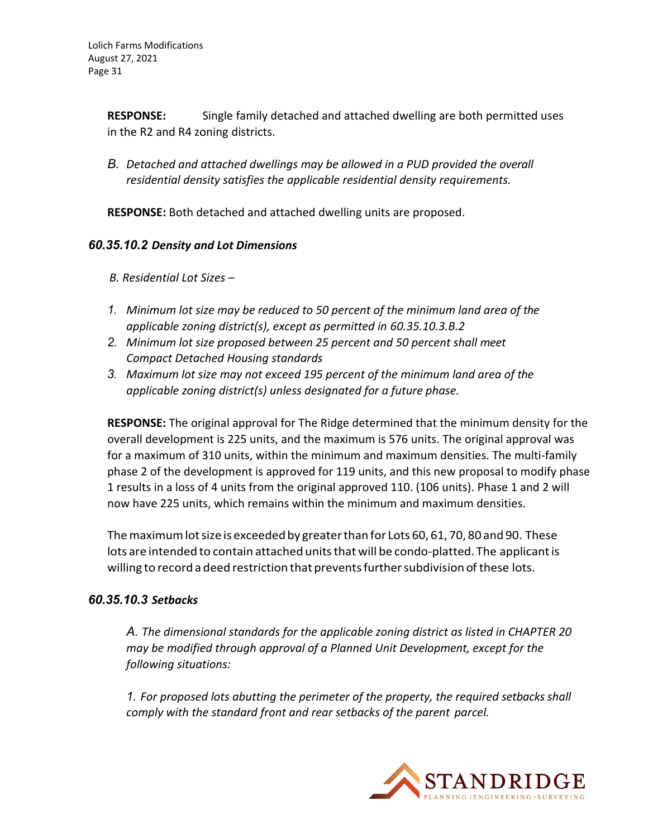**RESPONSE:** Single family detached and attached dwelling are both permitted uses in the R2 and R4 zoning districts.

*B. Detached and attached dwellings may be allowed in a PUD provided the overall residential density satisfies the applicable residential density requirements.*

**RESPONSE:** Both detached and attached dwelling units are proposed.

## *60.35.10.2 Density and Lot Dimensions*

*B. Residential Lot Sizes –*

- *1. Minimum lot size may be reduced to 50 percent of the minimum land area of the applicable zoning district(s), except as permitted in 60.35.10.3.B.2*
- *2. Minimum lot size proposed between 25 percent and 50 percent shall meet Compact Detached Housing standards*
- *3. Maximum lot size may not exceed 195 percent of the minimum land area of the applicable zoning district(s) unless designated for a future phase.*

**RESPONSE:** The original approval for The Ridge determined that the minimum density for the overall development is 225 units, and the maximum is 576 units. The original approval was for a maximum of 310 units, within the minimum and maximum densities. The multi‐family phase 2 of the development is approved for 119 units, and this new proposal to modify phase 1 results in a loss of 4 units from the original approved 110. (106 units). Phase 1 and 2 will now have 225 units, which remains within the minimum and maximum densities.

The maximum lot size is exceeded by greater than for Lots 60, 61, 70, 80 and 90. These lots are intended to contain attached units that will be condo-platted. The applicant is willing to record a deed restriction that prevents further subdivision of these lots.

## *60.35.10.3 Setbacks*

*A. The dimensional standards for the applicable zoning district as listed in CHAPTER 20 may be modified through approval of a Planned Unit Development, except for the following situations:*

*1. For proposed lots abutting the perimeter of the property, the required setbacksshall comply with the standard front and rear setbacks of the parent parcel.*

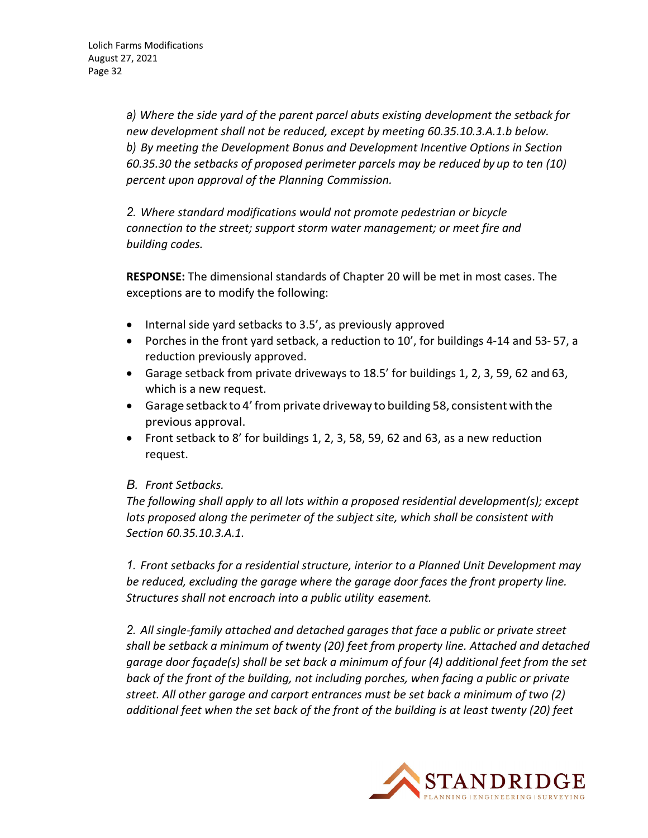*a) Where the side yard of the parent parcel abuts existing development the setback for new development shall not be reduced, except by meeting 60.35.10.3.A.1.b below. b) By meeting the Development Bonus and Development Incentive Options in Section 60.35.30 the setbacks of proposed perimeter parcels may be reduced by up to ten (10) percent upon approval of the Planning Commission.*

*2. Where standard modifications would not promote pedestrian or bicycle connection to the street; support storm water management; or meet fire and building codes.*

**RESPONSE:** The dimensional standards of Chapter 20 will be met in most cases. The exceptions are to modify the following:

- $\bullet$  Internal side yard setbacks to 3.5', as previously approved
- Porches in the front yard setback, a reduction to 10', for buildings 4‐14 and 53‐ 57, a reduction previously approved.
- Garage setback from private driveways to 18.5' for buildings 1, 2, 3, 59, 62 and 63, which is a new request.
- Garage setback to 4'fromprivate driveway to building 58, consistent with the previous approval.
- Front setback to 8' for buildings 1, 2, 3, 58, 59, 62 and 63, as a new reduction request.

## *B. Front Setbacks.*

*The following shall apply to all lots within a proposed residential development(s); except lots proposed along the perimeter of the subject site, which shall be consistent with Section 60.35.10.3.A.1.*

*1. Front setbacks for a residential structure, interior to a Planned Unit Development may be reduced, excluding the garage where the garage door faces the front property line. Structures shall not encroach into a public utility easement.*

*2. All single‐family attached and detached garages that face a public or private street shall be setback a minimum of twenty (20) feet from property line. Attached and detached garage door façade(s) shall be set back a minimum of four (4) additional feet from the set back of the front of the building, not including porches, when facing a public or private street. All other garage and carport entrances must be set back a minimum of two (2) additional feet when the set back of the front of the building is at least twenty (20) feet*

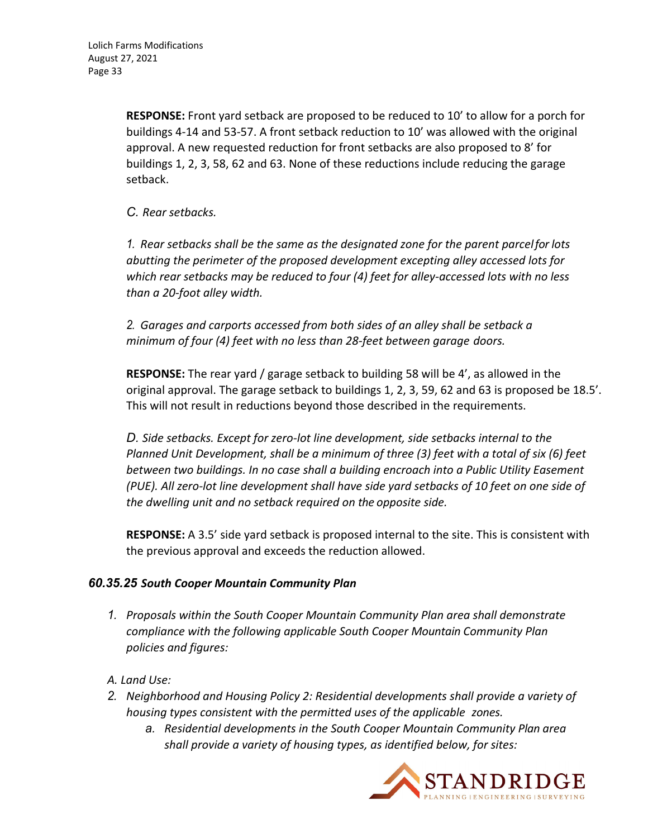**RESPONSE:** Front yard setback are proposed to be reduced to 10' to allow for a porch for buildings 4‐14 and 53‐57. A front setback reduction to 10' was allowed with the original approval. A new requested reduction for front setbacks are also proposed to 8' for buildings 1, 2, 3, 58, 62 and 63. None of these reductions include reducing the garage setback.

*C. Rear setbacks.*

*1. Rear setbacks shall be the same as the designated zone for the parent parcelfor lots abutting the perimeter of the proposed development excepting alley accessed lots for which rear setbacks may be reduced to four (4) feet for alley‐accessed lots with no less than a 20‐foot alley width.*

*2. Garages and carports accessed from both sides of an alley shall be setback a minimum of four (4) feet with no less than 28‐feet between garage doors.*

**RESPONSE:** The rear yard / garage setback to building 58 will be 4', as allowed in the original approval. The garage setback to buildings 1, 2, 3, 59, 62 and 63 is proposed be 18.5'. This will not result in reductions beyond those described in the requirements.

*D. Side setbacks. Except for zero‐lot line development, side setbacks internal to the Planned Unit Development, shall be a minimum of three (3) feet with a total of six (6) feet between two buildings. In no case shall a building encroach into a Public Utility Easement* (PUE). All zero-lot line development shall have side yard setbacks of 10 feet on one side of *the dwelling unit and no setback required on the opposite side.*

**RESPONSE:** A 3.5' side yard setback is proposed internal to the site. This is consistent with the previous approval and exceeds the reduction allowed.

## *60.35.25 South Cooper Mountain Community Plan*

- *1. Proposals within the South Cooper Mountain Community Plan area shall demonstrate compliance with the following applicable South Cooper Mountain Community Plan policies and figures:*
- *A. Land Use:*
- *2. Neighborhood and Housing Policy 2: Residential developments shall provide a variety of housing types consistent with the permitted uses of the applicable zones.*
	- *a. Residential developments in the South Cooper Mountain Community Plan area shall provide a variety of housing types, as identified below, for sites:*